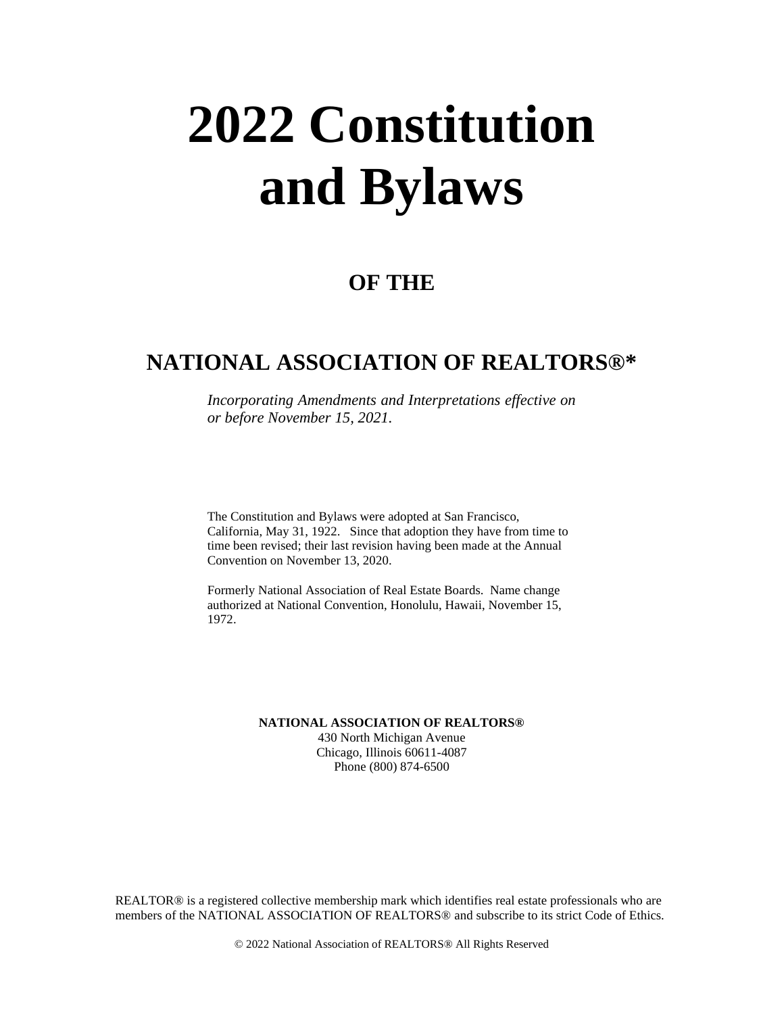# **2022 Constitution and Bylaws**

# **OF THE**

# **NATIONAL ASSOCIATION OF REALTORS®\***

*Incorporating Amendments and Interpretations effective on or before November 15, 2021.*

The Constitution and Bylaws were adopted at San Francisco, California, May 31, 1922. Since that adoption they have from time to time been revised; their last revision having been made at the Annual Convention on November 13, 2020.

Formerly National Association of Real Estate Boards. Name change authorized at National Convention, Honolulu, Hawaii, November 15, 1972.

**NATIONAL ASSOCIATION OF REALTORS®**

430 North Michigan Avenue Chicago, Illinois 60611-4087 Phone (800) 874-6500

REALTOR® is a registered collective membership mark which identifies real estate professionals who are members of the NATIONAL ASSOCIATION OF REALTORS® and subscribe to its strict Code of Ethics.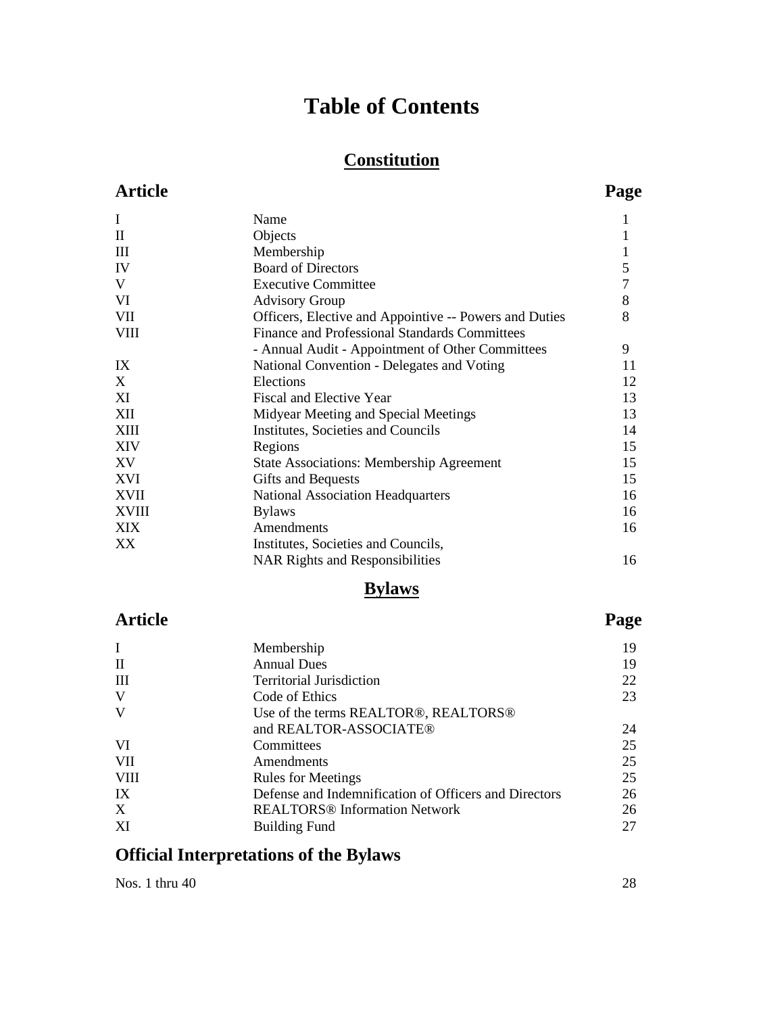# **Table of Contents**

# **Constitution**

## **Article Page**

| I            | Name                                                   |    |
|--------------|--------------------------------------------------------|----|
| $\mathbf{I}$ | Objects                                                |    |
| III          | Membership                                             | 1  |
| IV           | <b>Board of Directors</b>                              | 5  |
| V            | <b>Executive Committee</b>                             |    |
| VI           | <b>Advisory Group</b>                                  | 8  |
| VII          | Officers, Elective and Appointive -- Powers and Duties | 8  |
| <b>VIII</b>  | <b>Finance and Professional Standards Committees</b>   |    |
|              | - Annual Audit - Appointment of Other Committees       | 9  |
| IX           | National Convention - Delegates and Voting             | 11 |
| X            | Elections                                              | 12 |
| XI           | <b>Fiscal and Elective Year</b>                        | 13 |
| XII          | Midyear Meeting and Special Meetings                   | 13 |
| XIII         | Institutes, Societies and Councils                     | 14 |
| <b>XIV</b>   | Regions                                                | 15 |
| XV           | <b>State Associations: Membership Agreement</b>        | 15 |
| XVI          | Gifts and Bequests                                     | 15 |
| <b>XVII</b>  | <b>National Association Headquarters</b>               | 16 |
| <b>XVIII</b> | <b>Bylaws</b>                                          | 16 |
| XIX          | Amendments                                             | 16 |
| XX           | Institutes, Societies and Councils,                    |    |
|              | <b>NAR Rights and Responsibilities</b>                 | 16 |
|              |                                                        |    |

# **Bylaws**

## **Article Page**

| I            | Membership                                            | 19 |
|--------------|-------------------------------------------------------|----|
| $\mathbf{I}$ | <b>Annual Dues</b>                                    | 19 |
| Ш            | <b>Territorial Jurisdiction</b>                       | 22 |
| V            | Code of Ethics                                        | 23 |
| V            | Use of the terms REALTOR®, REALTORS®                  |    |
|              | and REALTOR-ASSOCIATE®                                | 24 |
| VI           | Committees                                            | 25 |
| <b>VII</b>   | Amendments                                            | 25 |
| <b>VIII</b>  | <b>Rules for Meetings</b>                             | 25 |
| IX           | Defense and Indemnification of Officers and Directors | 26 |
| X            | <b>REALTORS®</b> Information Network                  | 26 |
| XI           | <b>Building Fund</b>                                  | 27 |

# **Official Interpretations of the Bylaws**

Nos. 1 thru 40 28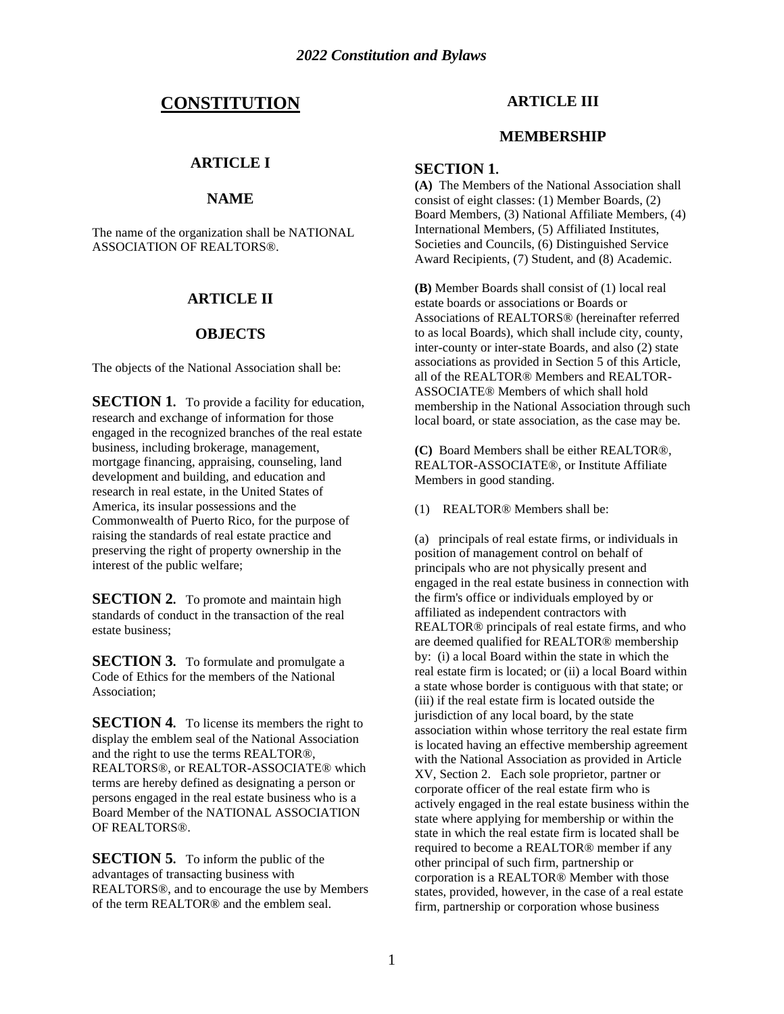## **CONSTITUTION**

## **ARTICLE I**

## **NAME**

The name of the organization shall be NATIONAL ASSOCIATION OF REALTORS®.

#### **ARTICLE II**

#### **OBJECTS**

The objects of the National Association shall be:

**SECTION 1.** To provide a facility for education, research and exchange of information for those engaged in the recognized branches of the real estate business, including brokerage, management, mortgage financing, appraising, counseling, land development and building, and education and research in real estate, in the United States of America, its insular possessions and the Commonwealth of Puerto Rico, for the purpose of raising the standards of real estate practice and preserving the right of property ownership in the interest of the public welfare;

**SECTION 2.** To promote and maintain high standards of conduct in the transaction of the real estate business;

**SECTION 3.** To formulate and promulgate a Code of Ethics for the members of the National Association;

**SECTION 4.** To license its members the right to display the emblem seal of the National Association and the right to use the terms REALTOR®, REALTORS®, or REALTOR-ASSOCIATE® which terms are hereby defined as designating a person or persons engaged in the real estate business who is a Board Member of the NATIONAL ASSOCIATION OF REALTORS®.

**SECTION 5.** To inform the public of the advantages of transacting business with REALTORS®, and to encourage the use by Members of the term REALTOR® and the emblem seal.

## **ARTICLE III**

#### **MEMBERSHIP**

#### **SECTION 1.**

**(A)** The Members of the National Association shall consist of eight classes: (1) Member Boards, (2) Board Members, (3) National Affiliate Members, (4) International Members, (5) Affiliated Institutes, Societies and Councils, (6) Distinguished Service Award Recipients, (7) Student, and (8) Academic.

**(B)** Member Boards shall consist of (1) local real estate boards or associations or Boards or Associations of REALTORS® (hereinafter referred to as local Boards), which shall include city, county, inter-county or inter-state Boards, and also (2) state associations as provided in Section 5 of this Article, all of the REALTOR® Members and REALTOR-ASSOCIATE® Members of which shall hold membership in the National Association through such local board, or state association, as the case may be.

**(C)** Board Members shall be either REALTOR®, REALTOR-ASSOCIATE®, or Institute Affiliate Members in good standing.

(1) REALTOR® Members shall be:

(a) principals of real estate firms, or individuals in position of management control on behalf of principals who are not physically present and engaged in the real estate business in connection with the firm's office or individuals employed by or affiliated as independent contractors with REALTOR® principals of real estate firms, and who are deemed qualified for REALTOR® membership by: (i) a local Board within the state in which the real estate firm is located; or (ii) a local Board within a state whose border is contiguous with that state; or (iii) if the real estate firm is located outside the jurisdiction of any local board, by the state association within whose territory the real estate firm is located having an effective membership agreement with the National Association as provided in Article XV, Section 2. Each sole proprietor, partner or corporate officer of the real estate firm who is actively engaged in the real estate business within the state where applying for membership or within the state in which the real estate firm is located shall be required to become a REALTOR® member if any other principal of such firm, partnership or corporation is a REALTOR® Member with those states, provided, however, in the case of a real estate firm, partnership or corporation whose business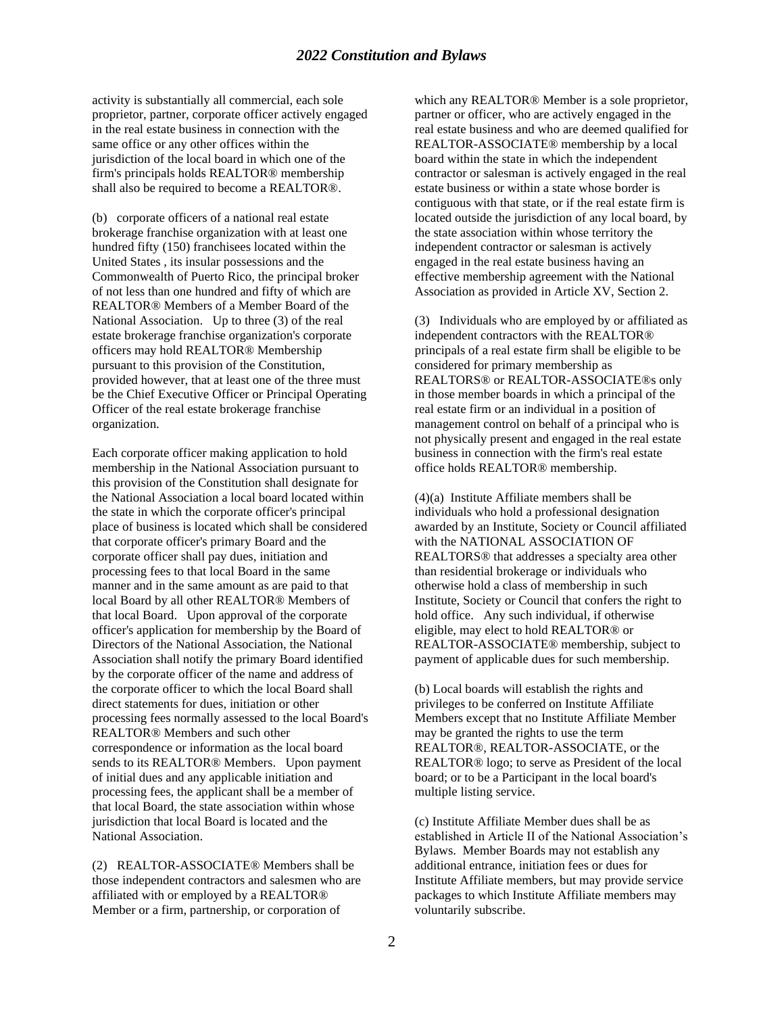activity is substantially all commercial, each sole proprietor, partner, corporate officer actively engaged in the real estate business in connection with the same office or any other offices within the jurisdiction of the local board in which one of the firm's principals holds REALTOR® membership shall also be required to become a REALTOR®.

(b) corporate officers of a national real estate brokerage franchise organization with at least one hundred fifty (150) franchisees located within the United States , its insular possessions and the Commonwealth of Puerto Rico, the principal broker of not less than one hundred and fifty of which are REALTOR® Members of a Member Board of the National Association. Up to three (3) of the real estate brokerage franchise organization's corporate officers may hold REALTOR® Membership pursuant to this provision of the Constitution, provided however, that at least one of the three must be the Chief Executive Officer or Principal Operating Officer of the real estate brokerage franchise organization.

Each corporate officer making application to hold membership in the National Association pursuant to this provision of the Constitution shall designate for the National Association a local board located within the state in which the corporate officer's principal place of business is located which shall be considered that corporate officer's primary Board and the corporate officer shall pay dues, initiation and processing fees to that local Board in the same manner and in the same amount as are paid to that local Board by all other REALTOR® Members of that local Board. Upon approval of the corporate officer's application for membership by the Board of Directors of the National Association, the National Association shall notify the primary Board identified by the corporate officer of the name and address of the corporate officer to which the local Board shall direct statements for dues, initiation or other processing fees normally assessed to the local Board's REALTOR® Members and such other correspondence or information as the local board sends to its REALTOR® Members. Upon payment of initial dues and any applicable initiation and processing fees, the applicant shall be a member of that local Board, the state association within whose jurisdiction that local Board is located and the National Association.

(2) REALTOR-ASSOCIATE® Members shall be those independent contractors and salesmen who are affiliated with or employed by a REALTOR® Member or a firm, partnership, or corporation of

which any REALTOR® Member is a sole proprietor, partner or officer, who are actively engaged in the real estate business and who are deemed qualified for REALTOR-ASSOCIATE® membership by a local board within the state in which the independent contractor or salesman is actively engaged in the real estate business or within a state whose border is contiguous with that state, or if the real estate firm is located outside the jurisdiction of any local board, by the state association within whose territory the independent contractor or salesman is actively engaged in the real estate business having an effective membership agreement with the National Association as provided in Article XV, Section 2.

(3) Individuals who are employed by or affiliated as independent contractors with the REALTOR® principals of a real estate firm shall be eligible to be considered for primary membership as REALTORS® or REALTOR-ASSOCIATE®s only in those member boards in which a principal of the real estate firm or an individual in a position of management control on behalf of a principal who is not physically present and engaged in the real estate business in connection with the firm's real estate office holds REALTOR® membership.

(4)(a) Institute Affiliate members shall be individuals who hold a professional designation awarded by an Institute, Society or Council affiliated with the NATIONAL ASSOCIATION OF REALTORS® that addresses a specialty area other than residential brokerage or individuals who otherwise hold a class of membership in such Institute, Society or Council that confers the right to hold office. Any such individual, if otherwise eligible, may elect to hold REALTOR® or REALTOR-ASSOCIATE® membership, subject to payment of applicable dues for such membership.

(b) Local boards will establish the rights and privileges to be conferred on Institute Affiliate Members except that no Institute Affiliate Member may be granted the rights to use the term REALTOR®, REALTOR-ASSOCIATE, or the REALTOR® logo; to serve as President of the local board; or to be a Participant in the local board's multiple listing service.

(c) Institute Affiliate Member dues shall be as established in Article II of the National Association's Bylaws. Member Boards may not establish any additional entrance, initiation fees or dues for Institute Affiliate members, but may provide service packages to which Institute Affiliate members may voluntarily subscribe.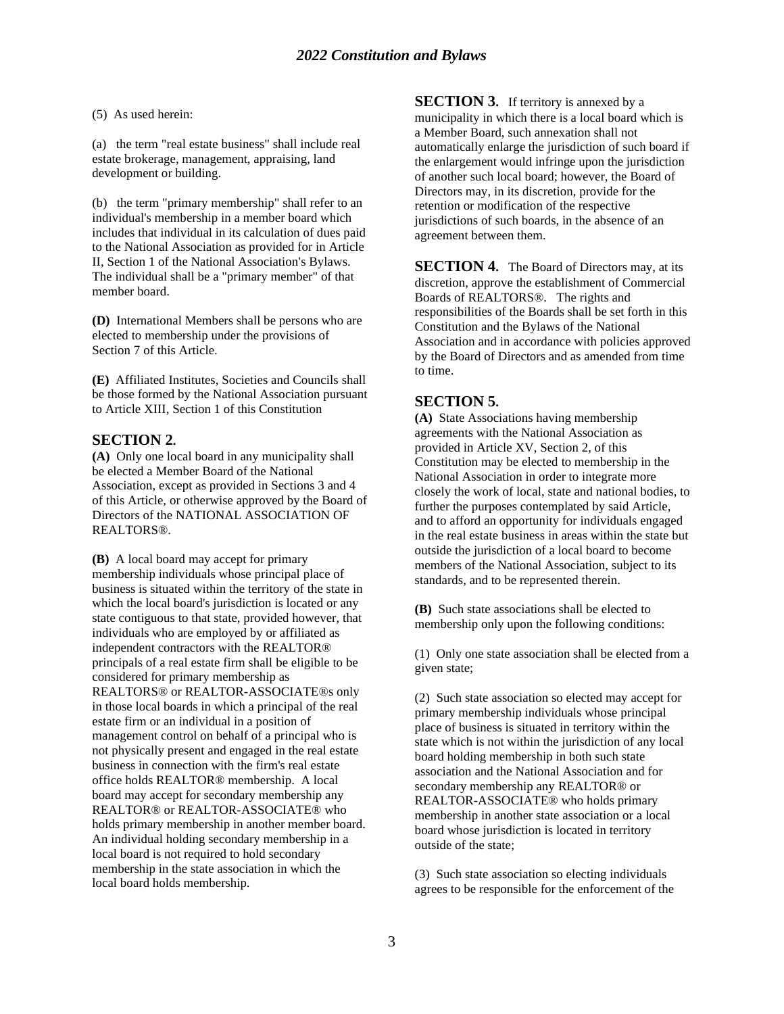(5) As used herein:

(a) the term "real estate business" shall include real estate brokerage, management, appraising, land development or building.

(b) the term "primary membership" shall refer to an individual's membership in a member board which includes that individual in its calculation of dues paid to the National Association as provided for in Article II, Section 1 of the National Association's Bylaws. The individual shall be a "primary member" of that member board.

**(D)** International Members shall be persons who are elected to membership under the provisions of Section 7 of this Article.

**(E)** Affiliated Institutes, Societies and Councils shall be those formed by the National Association pursuant to Article XIII, Section 1 of this Constitution

## **SECTION 2.**

**(A)** Only one local board in any municipality shall be elected a Member Board of the National Association, except as provided in Sections 3 and 4 of this Article, or otherwise approved by the Board of Directors of the NATIONAL ASSOCIATION OF REALTORS®.

**(B)** A local board may accept for primary membership individuals whose principal place of business is situated within the territory of the state in which the local board's jurisdiction is located or any state contiguous to that state, provided however, that individuals who are employed by or affiliated as independent contractors with the REALTOR® principals of a real estate firm shall be eligible to be considered for primary membership as REALTORS® or REALTOR-ASSOCIATE®s only in those local boards in which a principal of the real estate firm or an individual in a position of management control on behalf of a principal who is not physically present and engaged in the real estate business in connection with the firm's real estate office holds REALTOR® membership. A local board may accept for secondary membership any REALTOR® or REALTOR-ASSOCIATE® who holds primary membership in another member board. An individual holding secondary membership in a local board is not required to hold secondary membership in the state association in which the local board holds membership.

**SECTION 3.** If territory is annexed by a municipality in which there is a local board which is a Member Board, such annexation shall not automatically enlarge the jurisdiction of such board if the enlargement would infringe upon the jurisdiction of another such local board; however, the Board of Directors may, in its discretion, provide for the retention or modification of the respective jurisdictions of such boards, in the absence of an agreement between them.

**SECTION 4.** The Board of Directors may, at its discretion, approve the establishment of Commercial Boards of REALTORS®. The rights and responsibilities of the Boards shall be set forth in this Constitution and the Bylaws of the National Association and in accordance with policies approved by the Board of Directors and as amended from time to time.

## **SECTION 5.**

**(A)** State Associations having membership agreements with the National Association as provided in Article XV, Section 2, of this Constitution may be elected to membership in the National Association in order to integrate more closely the work of local, state and national bodies, to further the purposes contemplated by said Article, and to afford an opportunity for individuals engaged in the real estate business in areas within the state but outside the jurisdiction of a local board to become members of the National Association, subject to its standards, and to be represented therein.

**(B)** Such state associations shall be elected to membership only upon the following conditions:

(1) Only one state association shall be elected from a given state;

(2) Such state association so elected may accept for primary membership individuals whose principal place of business is situated in territory within the state which is not within the jurisdiction of any local board holding membership in both such state association and the National Association and for secondary membership any REALTOR® or REALTOR-ASSOCIATE® who holds primary membership in another state association or a local board whose jurisdiction is located in territory outside of the state;

(3) Such state association so electing individuals agrees to be responsible for the enforcement of the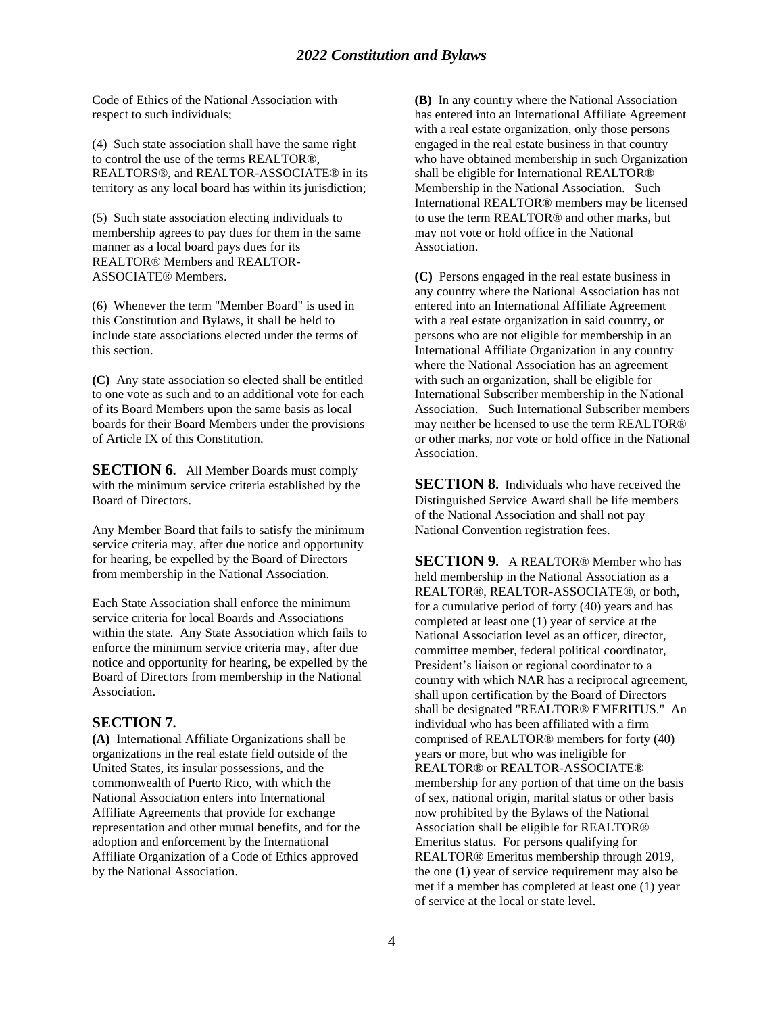Code of Ethics of the National Association with respect to such individuals;

(4) Such state association shall have the same right to control the use of the terms REALTOR®, REALTORS®, and REALTOR-ASSOCIATE® in its territory as any local board has within its jurisdiction;

(5) Such state association electing individuals to membership agrees to pay dues for them in the same manner as a local board pays dues for its REALTOR® Members and REALTOR-ASSOCIATE® Members.

(6) Whenever the term "Member Board" is used in this Constitution and Bylaws, it shall be held to include state associations elected under the terms of this section.

**(C)** Any state association so elected shall be entitled to one vote as such and to an additional vote for each of its Board Members upon the same basis as local boards for their Board Members under the provisions of Article IX of this Constitution.

**SECTION 6.** All Member Boards must comply with the minimum service criteria established by the Board of Directors.

Any Member Board that fails to satisfy the minimum service criteria may, after due notice and opportunity for hearing, be expelled by the Board of Directors from membership in the National Association.

Each State Association shall enforce the minimum service criteria for local Boards and Associations within the state. Any State Association which fails to enforce the minimum service criteria may, after due notice and opportunity for hearing, be expelled by the Board of Directors from membership in the National Association.

#### **SECTION 7.**

**(A)** International Affiliate Organizations shall be organizations in the real estate field outside of the United States, its insular possessions, and the commonwealth of Puerto Rico, with which the National Association enters into International Affiliate Agreements that provide for exchange representation and other mutual benefits, and for the adoption and enforcement by the International Affiliate Organization of a Code of Ethics approved by the National Association.

**(B)** In any country where the National Association has entered into an International Affiliate Agreement with a real estate organization, only those persons engaged in the real estate business in that country who have obtained membership in such Organization shall be eligible for International REALTOR® Membership in the National Association. Such International REALTOR® members may be licensed to use the term REALTOR® and other marks, but may not vote or hold office in the National Association.

**(C)** Persons engaged in the real estate business in any country where the National Association has not entered into an International Affiliate Agreement with a real estate organization in said country, or persons who are not eligible for membership in an International Affiliate Organization in any country where the National Association has an agreement with such an organization, shall be eligible for International Subscriber membership in the National Association. Such International Subscriber members may neither be licensed to use the term REALTOR® or other marks, nor vote or hold office in the National Association.

**SECTION 8.** Individuals who have received the Distinguished Service Award shall be life members of the National Association and shall not pay National Convention registration fees.

**SECTION 9.** A REALTOR® Member who has held membership in the National Association as a REALTOR®, REALTOR-ASSOCIATE®, or both, for a cumulative period of forty (40) years and has completed at least one (1) year of service at the National Association level as an officer, director, committee member, federal political coordinator, President's liaison or regional coordinator to a country with which NAR has a reciprocal agreement, shall upon certification by the Board of Directors shall be designated "REALTOR® EMERITUS." An individual who has been affiliated with a firm comprised of REALTOR® members for forty (40) years or more, but who was ineligible for REALTOR® or REALTOR-ASSOCIATE® membership for any portion of that time on the basis of sex, national origin, marital status or other basis now prohibited by the Bylaws of the National Association shall be eligible for REALTOR® Emeritus status. For persons qualifying for REALTOR® Emeritus membership through 2019, the one (1) year of service requirement may also be met if a member has completed at least one (1) year of service at the local or state level.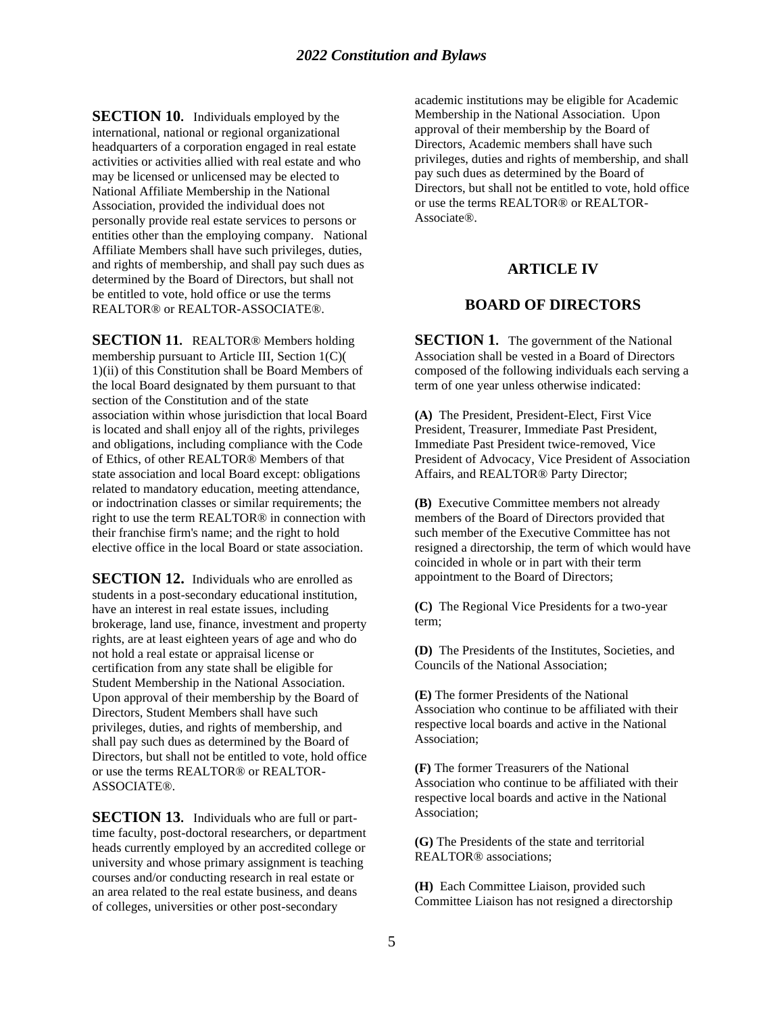**SECTION 10.** Individuals employed by the international, national or regional organizational headquarters of a corporation engaged in real estate activities or activities allied with real estate and who may be licensed or unlicensed may be elected to National Affiliate Membership in the National Association, provided the individual does not personally provide real estate services to persons or entities other than the employing company. National Affiliate Members shall have such privileges, duties, and rights of membership, and shall pay such dues as determined by the Board of Directors, but shall not be entitled to vote, hold office or use the terms REALTOR® or REALTOR-ASSOCIATE®.

**SECTION 11.** REALTOR® Members holding membership pursuant to Article III, Section 1(C)( 1)(ii) of this Constitution shall be Board Members of the local Board designated by them pursuant to that section of the Constitution and of the state association within whose jurisdiction that local Board is located and shall enjoy all of the rights, privileges and obligations, including compliance with the Code of Ethics, of other REALTOR® Members of that state association and local Board except: obligations related to mandatory education, meeting attendance, or indoctrination classes or similar requirements; the right to use the term REALTOR® in connection with their franchise firm's name; and the right to hold elective office in the local Board or state association.

**SECTION 12.** Individuals who are enrolled as students in a post-secondary educational institution, have an interest in real estate issues, including brokerage, land use, finance, investment and property rights, are at least eighteen years of age and who do not hold a real estate or appraisal license or certification from any state shall be eligible for Student Membership in the National Association. Upon approval of their membership by the Board of Directors, Student Members shall have such privileges, duties, and rights of membership, and shall pay such dues as determined by the Board of Directors, but shall not be entitled to vote, hold office or use the terms REALTOR® or REALTOR-ASSOCIATE®.

**SECTION 13.** Individuals who are full or parttime faculty, post-doctoral researchers, or department heads currently employed by an accredited college or university and whose primary assignment is teaching courses and/or conducting research in real estate or an area related to the real estate business, and deans of colleges, universities or other post-secondary

academic institutions may be eligible for Academic Membership in the National Association. Upon approval of their membership by the Board of Directors, Academic members shall have such privileges, duties and rights of membership, and shall pay such dues as determined by the Board of Directors, but shall not be entitled to vote, hold office or use the terms REALTOR® or REALTOR-Associate®.

#### **ARTICLE IV**

## **BOARD OF DIRECTORS**

**SECTION 1.** The government of the National Association shall be vested in a Board of Directors composed of the following individuals each serving a term of one year unless otherwise indicated:

**(A)** The President, President-Elect, First Vice President, Treasurer, Immediate Past President, Immediate Past President twice-removed, Vice President of Advocacy, Vice President of Association Affairs, and REALTOR® Party Director;

**(B)** Executive Committee members not already members of the Board of Directors provided that such member of the Executive Committee has not resigned a directorship, the term of which would have coincided in whole or in part with their term appointment to the Board of Directors;

**(C)** The Regional Vice Presidents for a two-year term;

**(D)** The Presidents of the Institutes, Societies, and Councils of the National Association;

**(E)** The former Presidents of the National Association who continue to be affiliated with their respective local boards and active in the National Association;

**(F)** The former Treasurers of the National Association who continue to be affiliated with their respective local boards and active in the National Association;

**(G)** The Presidents of the state and territorial REALTOR® associations;

**(H)** Each Committee Liaison, provided such Committee Liaison has not resigned a directorship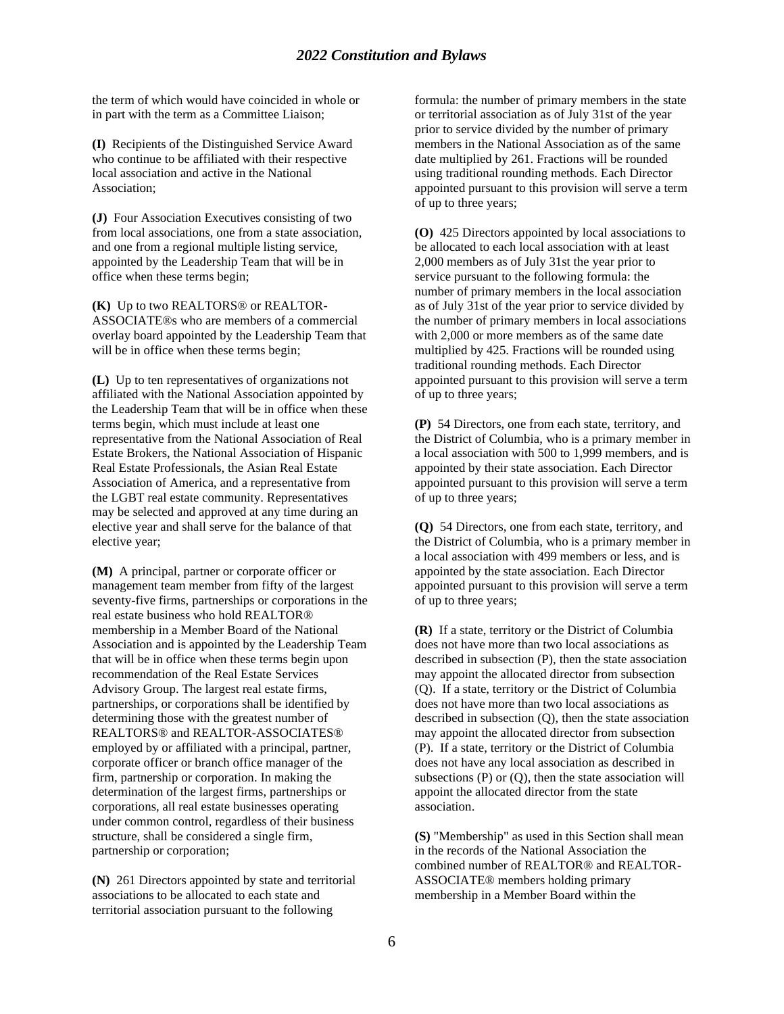the term of which would have coincided in whole or in part with the term as a Committee Liaison;

**(I)** Recipients of the Distinguished Service Award who continue to be affiliated with their respective local association and active in the National Association;

**(J)** Four Association Executives consisting of two from local associations, one from a state association, and one from a regional multiple listing service, appointed by the Leadership Team that will be in office when these terms begin;

**(K)** Up to two REALTORS® or REALTOR-ASSOCIATE®s who are members of a commercial overlay board appointed by the Leadership Team that will be in office when these terms begin;

**(L)** Up to ten representatives of organizations not affiliated with the National Association appointed by the Leadership Team that will be in office when these terms begin, which must include at least one representative from the National Association of Real Estate Brokers, the National Association of Hispanic Real Estate Professionals, the Asian Real Estate Association of America, and a representative from the LGBT real estate community. Representatives may be selected and approved at any time during an elective year and shall serve for the balance of that elective year;

**(M)** A principal, partner or corporate officer or management team member from fifty of the largest seventy-five firms, partnerships or corporations in the real estate business who hold REALTOR® membership in a Member Board of the National Association and is appointed by the Leadership Team that will be in office when these terms begin upon recommendation of the Real Estate Services Advisory Group. The largest real estate firms, partnerships, or corporations shall be identified by determining those with the greatest number of REALTORS® and REALTOR-ASSOCIATES® employed by or affiliated with a principal, partner, corporate officer or branch office manager of the firm, partnership or corporation. In making the determination of the largest firms, partnerships or corporations, all real estate businesses operating under common control, regardless of their business structure, shall be considered a single firm, partnership or corporation;

**(N)** 261 Directors appointed by state and territorial associations to be allocated to each state and territorial association pursuant to the following

formula: the number of primary members in the state or territorial association as of July 31st of the year prior to service divided by the number of primary members in the National Association as of the same date multiplied by 261. Fractions will be rounded using traditional rounding methods. Each Director appointed pursuant to this provision will serve a term of up to three years;

**(O)** 425 Directors appointed by local associations to be allocated to each local association with at least 2,000 members as of July 31st the year prior to service pursuant to the following formula: the number of primary members in the local association as of July 31st of the year prior to service divided by the number of primary members in local associations with 2,000 or more members as of the same date multiplied by 425. Fractions will be rounded using traditional rounding methods. Each Director appointed pursuant to this provision will serve a term of up to three years;

**(P)** 54 Directors, one from each state, territory, and the District of Columbia, who is a primary member in a local association with 500 to 1,999 members, and is appointed by their state association. Each Director appointed pursuant to this provision will serve a term of up to three years;

**(Q)** 54 Directors, one from each state, territory, and the District of Columbia, who is a primary member in a local association with 499 members or less, and is appointed by the state association. Each Director appointed pursuant to this provision will serve a term of up to three years;

**(R)** If a state, territory or the District of Columbia does not have more than two local associations as described in subsection (P), then the state association may appoint the allocated director from subsection (Q). If a state, territory or the District of Columbia does not have more than two local associations as described in subsection (Q), then the state association may appoint the allocated director from subsection (P). If a state, territory or the District of Columbia does not have any local association as described in subsections  $(P)$  or  $(Q)$ , then the state association will appoint the allocated director from the state association.

**(S)** "Membership" as used in this Section shall mean in the records of the National Association the combined number of REALTOR® and REALTOR-ASSOCIATE® members holding primary membership in a Member Board within the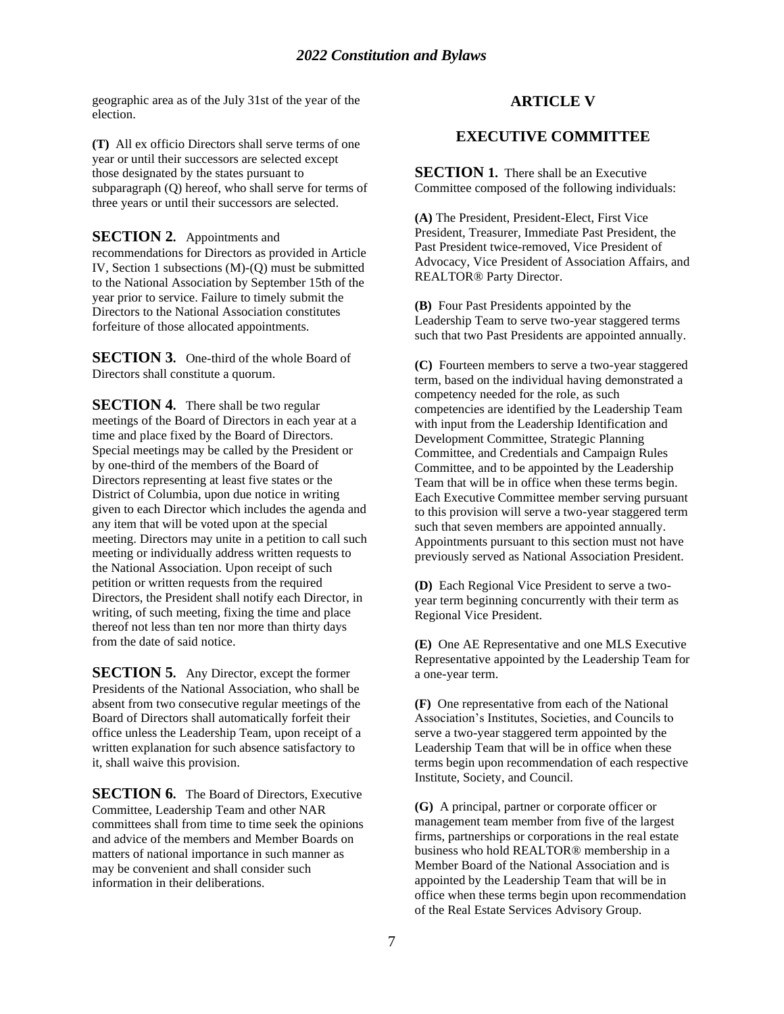geographic area as of the July 31st of the year of the election.

**(T)** All ex officio Directors shall serve terms of one year or until their successors are selected except those designated by the states pursuant to subparagraph (Q) hereof, who shall serve for terms of three years or until their successors are selected.

#### **SECTION 2.** Appointments and

recommendations for Directors as provided in Article IV, Section 1 subsections (M)-(Q) must be submitted to the National Association by September 15th of the year prior to service. Failure to timely submit the Directors to the National Association constitutes forfeiture of those allocated appointments.

**SECTION 3.** One-third of the whole Board of Directors shall constitute a quorum.

**SECTION 4.** There shall be two regular meetings of the Board of Directors in each year at a time and place fixed by the Board of Directors. Special meetings may be called by the President or by one-third of the members of the Board of Directors representing at least five states or the District of Columbia, upon due notice in writing given to each Director which includes the agenda and any item that will be voted upon at the special meeting. Directors may unite in a petition to call such meeting or individually address written requests to the National Association. Upon receipt of such petition or written requests from the required Directors, the President shall notify each Director, in writing, of such meeting, fixing the time and place thereof not less than ten nor more than thirty days from the date of said notice.

**SECTION 5.** Any Director, except the former Presidents of the National Association, who shall be absent from two consecutive regular meetings of the Board of Directors shall automatically forfeit their office unless the Leadership Team, upon receipt of a written explanation for such absence satisfactory to it, shall waive this provision.

**SECTION 6.** The Board of Directors, Executive Committee, Leadership Team and other NAR committees shall from time to time seek the opinions and advice of the members and Member Boards on matters of national importance in such manner as may be convenient and shall consider such information in their deliberations.

## **ARTICLE V**

## **EXECUTIVE COMMITTEE**

**SECTION 1.** There shall be an Executive Committee composed of the following individuals:

**(A)** The President, President-Elect, First Vice President, Treasurer, Immediate Past President, the Past President twice-removed, Vice President of Advocacy, Vice President of Association Affairs, and REALTOR® Party Director.

**(B)** Four Past Presidents appointed by the Leadership Team to serve two-year staggered terms such that two Past Presidents are appointed annually.

**(C)** Fourteen members to serve a two-year staggered term, based on the individual having demonstrated a competency needed for the role, as such competencies are identified by the Leadership Team with input from the Leadership Identification and Development Committee, Strategic Planning Committee, and Credentials and Campaign Rules Committee, and to be appointed by the Leadership Team that will be in office when these terms begin. Each Executive Committee member serving pursuant to this provision will serve a two-year staggered term such that seven members are appointed annually. Appointments pursuant to this section must not have previously served as National Association President.

**(D)** Each Regional Vice President to serve a twoyear term beginning concurrently with their term as Regional Vice President.

**(E)** One AE Representative and one MLS Executive Representative appointed by the Leadership Team for a one-year term.

**(F)** One representative from each of the National Association's Institutes, Societies, and Councils to serve a two-year staggered term appointed by the Leadership Team that will be in office when these terms begin upon recommendation of each respective Institute, Society, and Council.

**(G)** A principal, partner or corporate officer or management team member from five of the largest firms, partnerships or corporations in the real estate business who hold REALTOR® membership in a Member Board of the National Association and is appointed by the Leadership Team that will be in office when these terms begin upon recommendation of the Real Estate Services Advisory Group.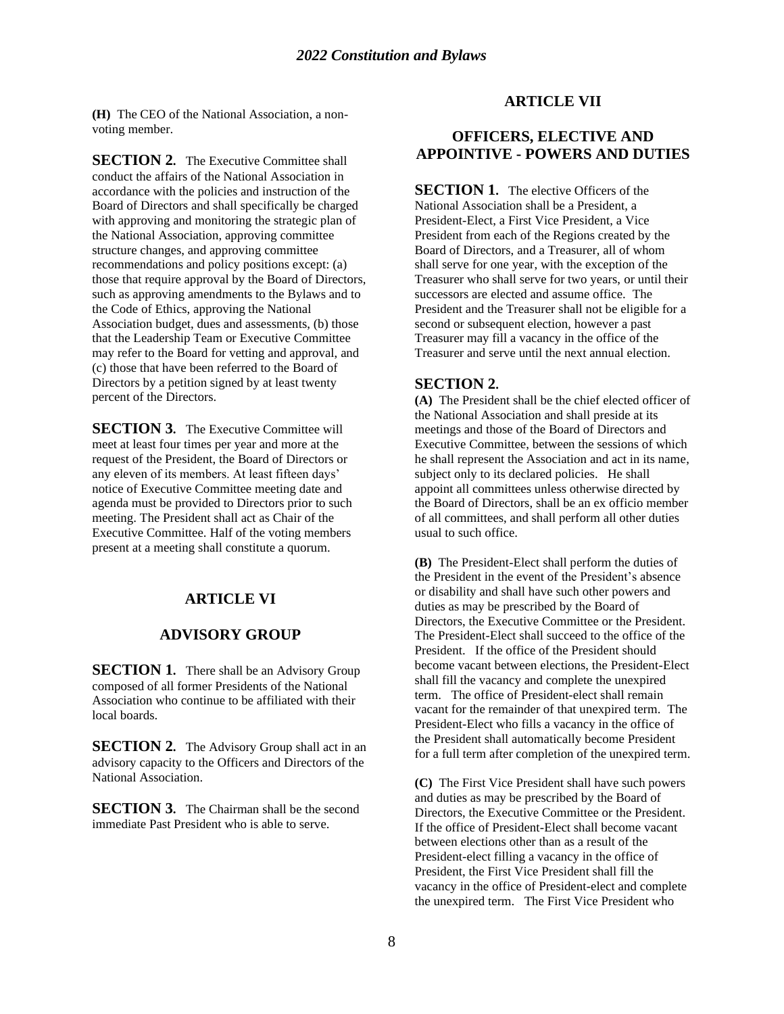**(H)** The CEO of the National Association, a nonvoting member.

**SECTION 2.** The Executive Committee shall conduct the affairs of the National Association in accordance with the policies and instruction of the Board of Directors and shall specifically be charged with approving and monitoring the strategic plan of the National Association, approving committee structure changes, and approving committee recommendations and policy positions except: (a) those that require approval by the Board of Directors, such as approving amendments to the Bylaws and to the Code of Ethics, approving the National Association budget, dues and assessments, (b) those that the Leadership Team or Executive Committee may refer to the Board for vetting and approval, and (c) those that have been referred to the Board of Directors by a petition signed by at least twenty percent of the Directors.

**SECTION 3.** The Executive Committee will meet at least four times per year and more at the request of the President, the Board of Directors or any eleven of its members. At least fifteen days' notice of Executive Committee meeting date and agenda must be provided to Directors prior to such meeting. The President shall act as Chair of the Executive Committee. Half of the voting members present at a meeting shall constitute a quorum.

## **ARTICLE VI**

## **ADVISORY GROUP**

**SECTION 1.** There shall be an Advisory Group composed of all former Presidents of the National Association who continue to be affiliated with their local boards.

**SECTION 2.** The Advisory Group shall act in an advisory capacity to the Officers and Directors of the National Association.

**SECTION 3.** The Chairman shall be the second immediate Past President who is able to serve.

## **ARTICLE VII**

## **OFFICERS, ELECTIVE AND APPOINTIVE - POWERS AND DUTIES**

**SECTION 1.** The elective Officers of the National Association shall be a President, a President-Elect, a First Vice President, a Vice President from each of the Regions created by the Board of Directors, and a Treasurer, all of whom shall serve for one year, with the exception of the Treasurer who shall serve for two years, or until their successors are elected and assume office. The President and the Treasurer shall not be eligible for a second or subsequent election, however a past Treasurer may fill a vacancy in the office of the Treasurer and serve until the next annual election.

#### **SECTION 2.**

**(A)** The President shall be the chief elected officer of the National Association and shall preside at its meetings and those of the Board of Directors and Executive Committee, between the sessions of which he shall represent the Association and act in its name, subject only to its declared policies. He shall appoint all committees unless otherwise directed by the Board of Directors, shall be an ex officio member of all committees, and shall perform all other duties usual to such office.

**(B)** The President-Elect shall perform the duties of the President in the event of the President's absence or disability and shall have such other powers and duties as may be prescribed by the Board of Directors, the Executive Committee or the President. The President-Elect shall succeed to the office of the President. If the office of the President should become vacant between elections, the President-Elect shall fill the vacancy and complete the unexpired term. The office of President-elect shall remain vacant for the remainder of that unexpired term. The President-Elect who fills a vacancy in the office of the President shall automatically become President for a full term after completion of the unexpired term.

**(C)** The First Vice President shall have such powers and duties as may be prescribed by the Board of Directors, the Executive Committee or the President. If the office of President-Elect shall become vacant between elections other than as a result of the President-elect filling a vacancy in the office of President, the First Vice President shall fill the vacancy in the office of President-elect and complete the unexpired term. The First Vice President who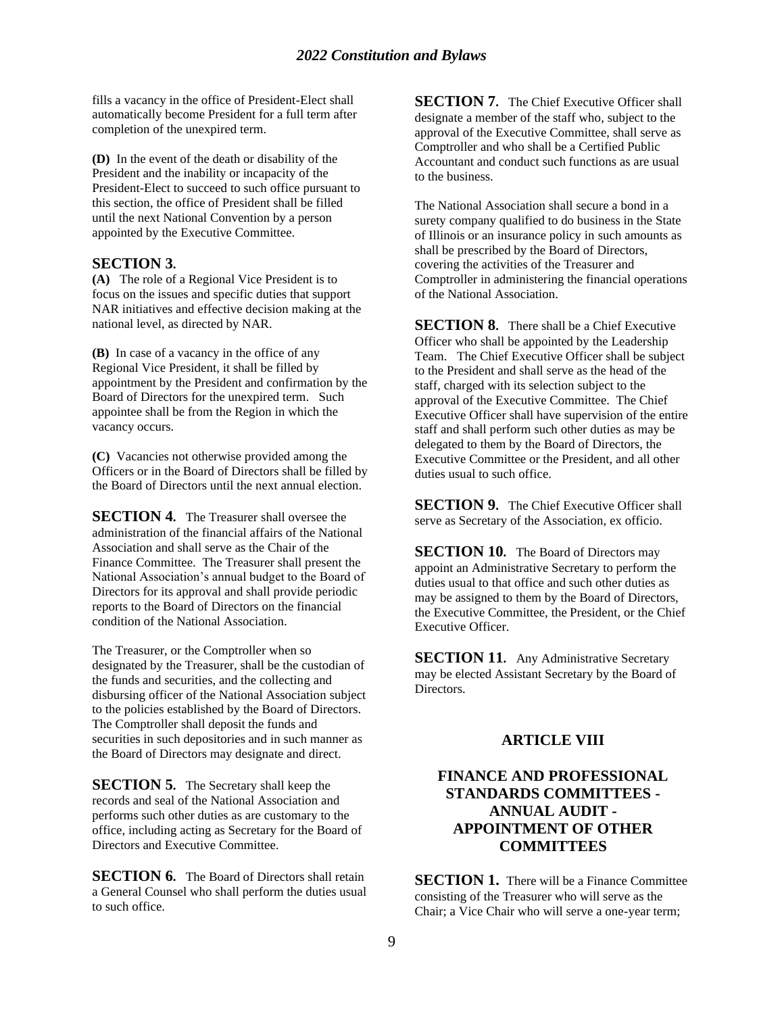fills a vacancy in the office of President-Elect shall automatically become President for a full term after completion of the unexpired term.

**(D)** In the event of the death or disability of the President and the inability or incapacity of the President-Elect to succeed to such office pursuant to this section, the office of President shall be filled until the next National Convention by a person appointed by the Executive Committee.

## **SECTION 3.**

**(A)** The role of a Regional Vice President is to focus on the issues and specific duties that support NAR initiatives and effective decision making at the national level, as directed by NAR.

**(B)** In case of a vacancy in the office of any Regional Vice President, it shall be filled by appointment by the President and confirmation by the Board of Directors for the unexpired term. Such appointee shall be from the Region in which the vacancy occurs.

**(C)** Vacancies not otherwise provided among the Officers or in the Board of Directors shall be filled by the Board of Directors until the next annual election.

**SECTION 4.** The Treasurer shall oversee the administration of the financial affairs of the National Association and shall serve as the Chair of the Finance Committee. The Treasurer shall present the National Association's annual budget to the Board of Directors for its approval and shall provide periodic reports to the Board of Directors on the financial condition of the National Association.

The Treasurer, or the Comptroller when so designated by the Treasurer, shall be the custodian of the funds and securities, and the collecting and disbursing officer of the National Association subject to the policies established by the Board of Directors. The Comptroller shall deposit the funds and securities in such depositories and in such manner as the Board of Directors may designate and direct.

**SECTION 5.** The Secretary shall keep the records and seal of the National Association and performs such other duties as are customary to the office, including acting as Secretary for the Board of Directors and Executive Committee.

**SECTION 6.** The Board of Directors shall retain a General Counsel who shall perform the duties usual to such office.

**SECTION 7.** The Chief Executive Officer shall designate a member of the staff who, subject to the approval of the Executive Committee, shall serve as Comptroller and who shall be a Certified Public Accountant and conduct such functions as are usual to the business.

The National Association shall secure a bond in a surety company qualified to do business in the State of Illinois or an insurance policy in such amounts as shall be prescribed by the Board of Directors, covering the activities of the Treasurer and Comptroller in administering the financial operations of the National Association.

**SECTION 8.** There shall be a Chief Executive Officer who shall be appointed by the Leadership Team. The Chief Executive Officer shall be subject to the President and shall serve as the head of the staff, charged with its selection subject to the approval of the Executive Committee. The Chief Executive Officer shall have supervision of the entire staff and shall perform such other duties as may be delegated to them by the Board of Directors, the Executive Committee or the President, and all other duties usual to such office.

**SECTION 9.** The Chief Executive Officer shall serve as Secretary of the Association, ex officio.

**SECTION 10.** The Board of Directors may appoint an Administrative Secretary to perform the duties usual to that office and such other duties as may be assigned to them by the Board of Directors, the Executive Committee, the President, or the Chief Executive Officer.

**SECTION 11.** Any Administrative Secretary may be elected Assistant Secretary by the Board of Directors.

## **ARTICLE VIII**

## **FINANCE AND PROFESSIONAL STANDARDS COMMITTEES - ANNUAL AUDIT - APPOINTMENT OF OTHER COMMITTEES**

**SECTION 1.** There will be a Finance Committee consisting of the Treasurer who will serve as the Chair; a Vice Chair who will serve a one-year term;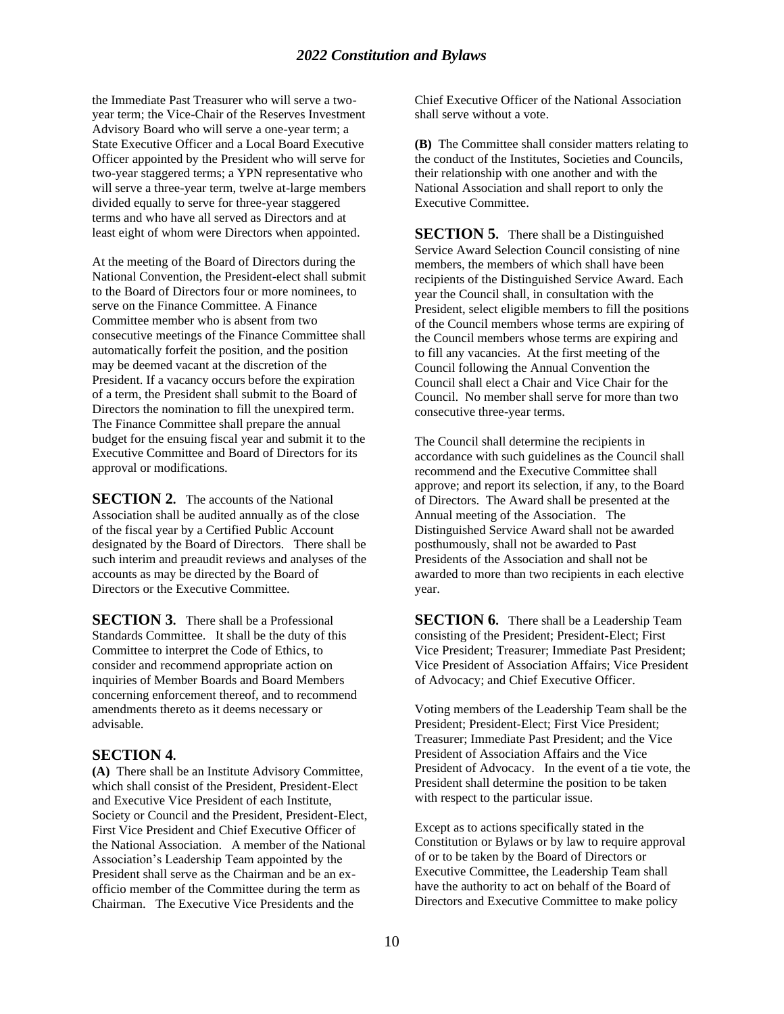## *2022 Constitution and Bylaws*

the Immediate Past Treasurer who will serve a twoyear term; the Vice-Chair of the Reserves Investment Advisory Board who will serve a one-year term; a State Executive Officer and a Local Board Executive Officer appointed by the President who will serve for two-year staggered terms; a YPN representative who will serve a three-year term, twelve at-large members divided equally to serve for three-year staggered terms and who have all served as Directors and at least eight of whom were Directors when appointed.

At the meeting of the Board of Directors during the National Convention, the President-elect shall submit to the Board of Directors four or more nominees, to serve on the Finance Committee. A Finance Committee member who is absent from two consecutive meetings of the Finance Committee shall automatically forfeit the position, and the position may be deemed vacant at the discretion of the President. If a vacancy occurs before the expiration of a term, the President shall submit to the Board of Directors the nomination to fill the unexpired term. The Finance Committee shall prepare the annual budget for the ensuing fiscal year and submit it to the Executive Committee and Board of Directors for its approval or modifications.

**SECTION 2.** The accounts of the National Association shall be audited annually as of the close of the fiscal year by a Certified Public Account designated by the Board of Directors. There shall be such interim and preaudit reviews and analyses of the accounts as may be directed by the Board of Directors or the Executive Committee.

**SECTION 3.** There shall be a Professional Standards Committee. It shall be the duty of this Committee to interpret the Code of Ethics, to consider and recommend appropriate action on inquiries of Member Boards and Board Members concerning enforcement thereof, and to recommend amendments thereto as it deems necessary or advisable.

#### **SECTION 4.**

**(A)** There shall be an Institute Advisory Committee, which shall consist of the President, President-Elect and Executive Vice President of each Institute, Society or Council and the President, President-Elect, First Vice President and Chief Executive Officer of the National Association. A member of the National Association's Leadership Team appointed by the President shall serve as the Chairman and be an exofficio member of the Committee during the term as Chairman. The Executive Vice Presidents and the

Chief Executive Officer of the National Association shall serve without a vote.

**(B)** The Committee shall consider matters relating to the conduct of the Institutes, Societies and Councils, their relationship with one another and with the National Association and shall report to only the Executive Committee.

**SECTION 5.** There shall be a Distinguished Service Award Selection Council consisting of nine members, the members of which shall have been recipients of the Distinguished Service Award. Each year the Council shall, in consultation with the President, select eligible members to fill the positions of the Council members whose terms are expiring of the Council members whose terms are expiring and to fill any vacancies. At the first meeting of the Council following the Annual Convention the Council shall elect a Chair and Vice Chair for the Council. No member shall serve for more than two consecutive three-year terms.

The Council shall determine the recipients in accordance with such guidelines as the Council shall recommend and the Executive Committee shall approve; and report its selection, if any, to the Board of Directors. The Award shall be presented at the Annual meeting of the Association. The Distinguished Service Award shall not be awarded posthumously, shall not be awarded to Past Presidents of the Association and shall not be awarded to more than two recipients in each elective year.

**SECTION 6.** There shall be a Leadership Team consisting of the President; President-Elect; First Vice President; Treasurer; Immediate Past President; Vice President of Association Affairs; Vice President of Advocacy; and Chief Executive Officer.

Voting members of the Leadership Team shall be the President; President-Elect; First Vice President; Treasurer; Immediate Past President; and the Vice President of Association Affairs and the Vice President of Advocacy. In the event of a tie vote, the President shall determine the position to be taken with respect to the particular issue.

Except as to actions specifically stated in the Constitution or Bylaws or by law to require approval of or to be taken by the Board of Directors or Executive Committee, the Leadership Team shall have the authority to act on behalf of the Board of Directors and Executive Committee to make policy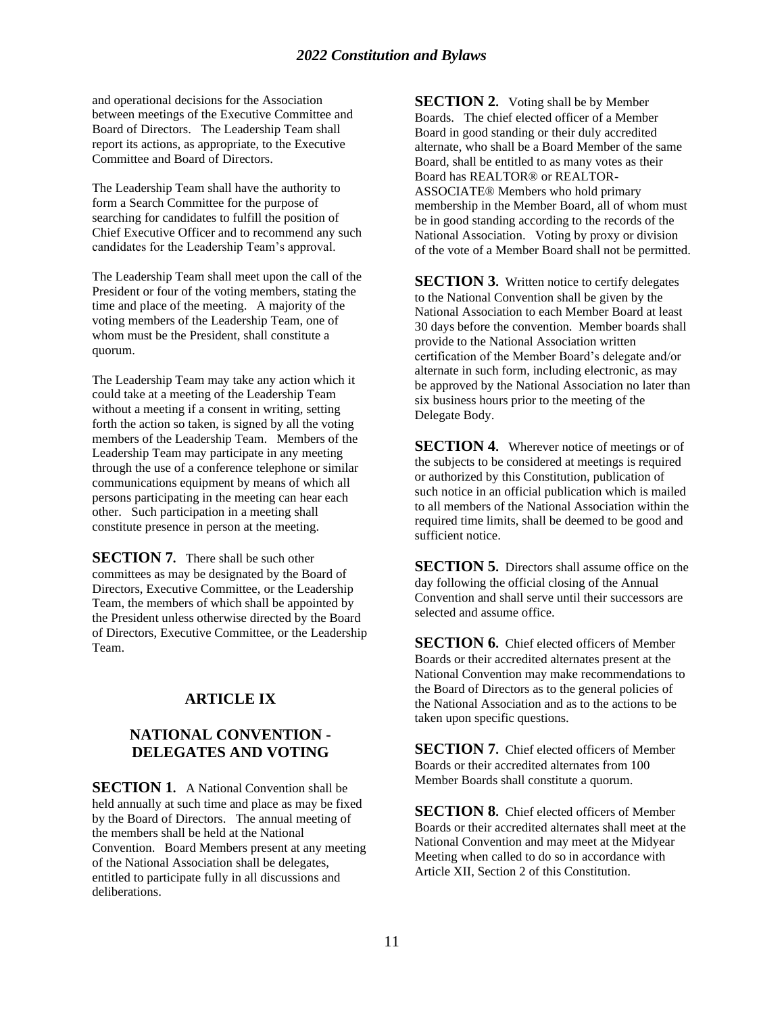and operational decisions for the Association between meetings of the Executive Committee and Board of Directors. The Leadership Team shall report its actions, as appropriate, to the Executive Committee and Board of Directors.

The Leadership Team shall have the authority to form a Search Committee for the purpose of searching for candidates to fulfill the position of Chief Executive Officer and to recommend any such candidates for the Leadership Team's approval.

The Leadership Team shall meet upon the call of the President or four of the voting members, stating the time and place of the meeting. A majority of the voting members of the Leadership Team, one of whom must be the President, shall constitute a quorum.

The Leadership Team may take any action which it could take at a meeting of the Leadership Team without a meeting if a consent in writing, setting forth the action so taken, is signed by all the voting members of the Leadership Team. Members of the Leadership Team may participate in any meeting through the use of a conference telephone or similar communications equipment by means of which all persons participating in the meeting can hear each other. Such participation in a meeting shall constitute presence in person at the meeting.

**SECTION 7.** There shall be such other committees as may be designated by the Board of Directors, Executive Committee, or the Leadership Team, the members of which shall be appointed by the President unless otherwise directed by the Board of Directors, Executive Committee, or the Leadership Team.

## **ARTICLE IX**

## **NATIONAL CONVENTION - DELEGATES AND VOTING**

**SECTION 1.** A National Convention shall be held annually at such time and place as may be fixed by the Board of Directors. The annual meeting of the members shall be held at the National Convention. Board Members present at any meeting of the National Association shall be delegates, entitled to participate fully in all discussions and deliberations.

**SECTION 2.** Voting shall be by Member Boards. The chief elected officer of a Member Board in good standing or their duly accredited alternate, who shall be a Board Member of the same Board, shall be entitled to as many votes as their Board has REALTOR® or REALTOR-ASSOCIATE® Members who hold primary membership in the Member Board, all of whom must be in good standing according to the records of the National Association. Voting by proxy or division of the vote of a Member Board shall not be permitted.

**SECTION 3.** Written notice to certify delegates to the National Convention shall be given by the National Association to each Member Board at least 30 days before the convention. Member boards shall provide to the National Association written certification of the Member Board's delegate and/or alternate in such form, including electronic, as may be approved by the National Association no later than six business hours prior to the meeting of the Delegate Body.

**SECTION 4.** Wherever notice of meetings or of the subjects to be considered at meetings is required or authorized by this Constitution, publication of such notice in an official publication which is mailed to all members of the National Association within the required time limits, shall be deemed to be good and sufficient notice.

**SECTION 5.** Directors shall assume office on the day following the official closing of the Annual Convention and shall serve until their successors are selected and assume office.

**SECTION 6.** Chief elected officers of Member Boards or their accredited alternates present at the National Convention may make recommendations to the Board of Directors as to the general policies of the National Association and as to the actions to be taken upon specific questions.

**SECTION 7.** Chief elected officers of Member Boards or their accredited alternates from 100 Member Boards shall constitute a quorum.

**SECTION 8.** Chief elected officers of Member Boards or their accredited alternates shall meet at the National Convention and may meet at the Midyear Meeting when called to do so in accordance with Article XII, Section 2 of this Constitution.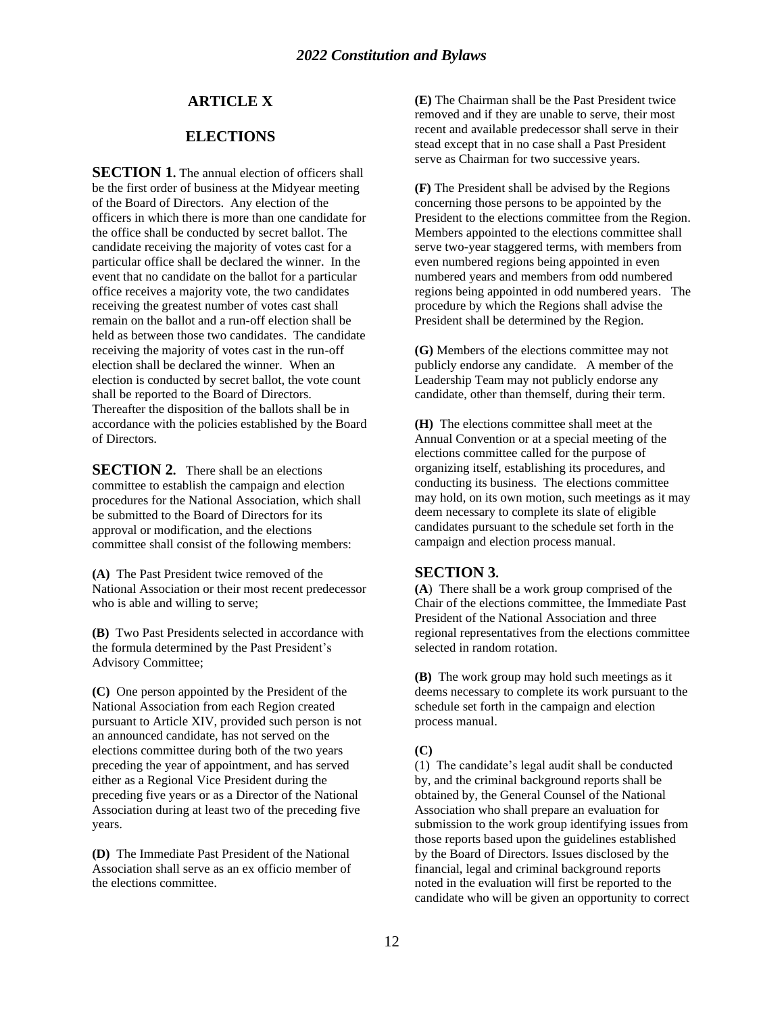## **ARTICLE X**

## **ELECTIONS**

**SECTION 1.** The annual election of officers shall be the first order of business at the Midyear meeting of the Board of Directors. Any election of the officers in which there is more than one candidate for the office shall be conducted by secret ballot. The candidate receiving the majority of votes cast for a particular office shall be declared the winner. In the event that no candidate on the ballot for a particular office receives a majority vote, the two candidates receiving the greatest number of votes cast shall remain on the ballot and a run-off election shall be held as between those two candidates. The candidate receiving the majority of votes cast in the run-off election shall be declared the winner. When an election is conducted by secret ballot, the vote count shall be reported to the Board of Directors. Thereafter the disposition of the ballots shall be in accordance with the policies established by the Board of Directors.

**SECTION 2.** There shall be an elections committee to establish the campaign and election procedures for the National Association, which shall be submitted to the Board of Directors for its approval or modification, and the elections committee shall consist of the following members:

**(A)** The Past President twice removed of the National Association or their most recent predecessor who is able and willing to serve;

**(B)** Two Past Presidents selected in accordance with the formula determined by the Past President's Advisory Committee;

**(C)** One person appointed by the President of the National Association from each Region created pursuant to Article XIV, provided such person is not an announced candidate, has not served on the elections committee during both of the two years preceding the year of appointment, and has served either as a Regional Vice President during the preceding five years or as a Director of the National Association during at least two of the preceding five years.

**(D)** The Immediate Past President of the National Association shall serve as an ex officio member of the elections committee.

**(E)** The Chairman shall be the Past President twice removed and if they are unable to serve, their most recent and available predecessor shall serve in their stead except that in no case shall a Past President serve as Chairman for two successive years.

**(F)** The President shall be advised by the Regions concerning those persons to be appointed by the President to the elections committee from the Region. Members appointed to the elections committee shall serve two-year staggered terms, with members from even numbered regions being appointed in even numbered years and members from odd numbered regions being appointed in odd numbered years. The procedure by which the Regions shall advise the President shall be determined by the Region.

**(G)** Members of the elections committee may not publicly endorse any candidate. A member of the Leadership Team may not publicly endorse any candidate, other than themself, during their term.

**(H)** The elections committee shall meet at the Annual Convention or at a special meeting of the elections committee called for the purpose of organizing itself, establishing its procedures, and conducting its business. The elections committee may hold, on its own motion, such meetings as it may deem necessary to complete its slate of eligible candidates pursuant to the schedule set forth in the campaign and election process manual.

#### **SECTION 3.**

**(A**) There shall be a work group comprised of the Chair of the elections committee, the Immediate Past President of the National Association and three regional representatives from the elections committee selected in random rotation.

**(B)** The work group may hold such meetings as it deems necessary to complete its work pursuant to the schedule set forth in the campaign and election process manual.

#### **(C)**

(1) The candidate's legal audit shall be conducted by, and the criminal background reports shall be obtained by, the General Counsel of the National Association who shall prepare an evaluation for submission to the work group identifying issues from those reports based upon the guidelines established by the Board of Directors. Issues disclosed by the financial, legal and criminal background reports noted in the evaluation will first be reported to the candidate who will be given an opportunity to correct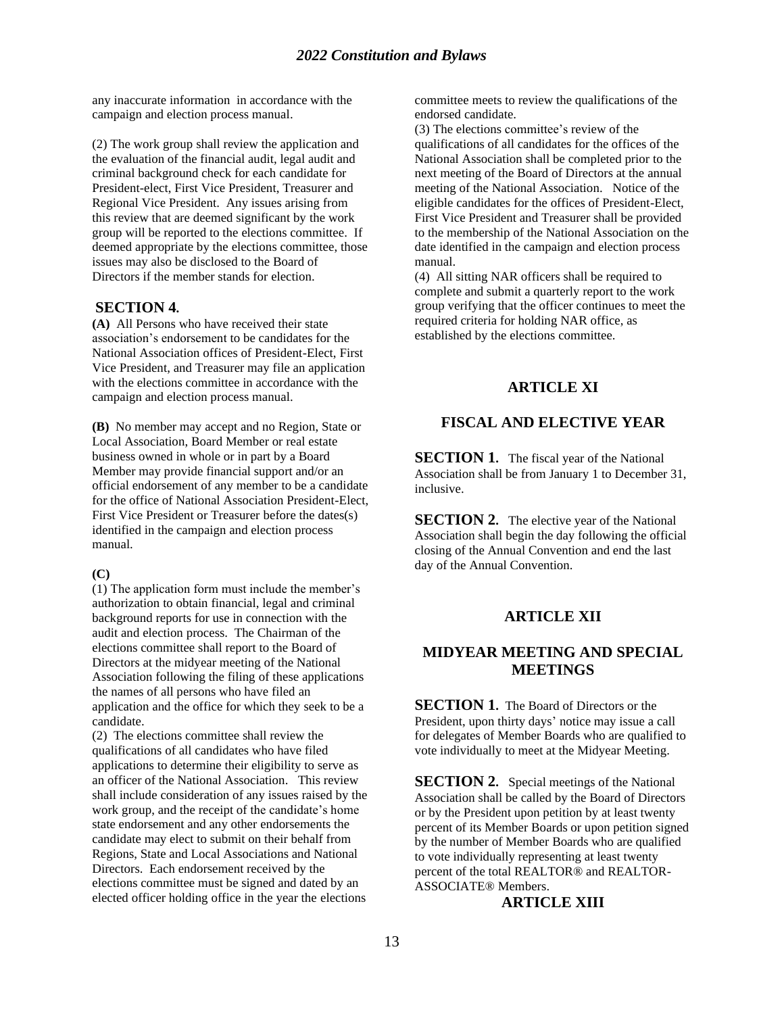any inaccurate information in accordance with the campaign and election process manual.

(2) The work group shall review the application and the evaluation of the financial audit, legal audit and criminal background check for each candidate for President-elect, First Vice President, Treasurer and Regional Vice President. Any issues arising from this review that are deemed significant by the work group will be reported to the elections committee. If deemed appropriate by the elections committee, those issues may also be disclosed to the Board of Directors if the member stands for election.

#### **SECTION 4.**

**(A)** All Persons who have received their state association's endorsement to be candidates for the National Association offices of President-Elect, First Vice President, and Treasurer may file an application with the elections committee in accordance with the campaign and election process manual.

**(B)** No member may accept and no Region, State or Local Association, Board Member or real estate business owned in whole or in part by a Board Member may provide financial support and/or an official endorsement of any member to be a candidate for the office of National Association President-Elect, First Vice President or Treasurer before the dates(s) identified in the campaign and election process manual.

#### **(C)**

(1) The application form must include the member's authorization to obtain financial, legal and criminal background reports for use in connection with the audit and election process. The Chairman of the elections committee shall report to the Board of Directors at the midyear meeting of the National Association following the filing of these applications the names of all persons who have filed an application and the office for which they seek to be a candidate.

(2) The elections committee shall review the qualifications of all candidates who have filed applications to determine their eligibility to serve as an officer of the National Association. This review shall include consideration of any issues raised by the work group, and the receipt of the candidate's home state endorsement and any other endorsements the candidate may elect to submit on their behalf from Regions, State and Local Associations and National Directors. Each endorsement received by the elections committee must be signed and dated by an elected officer holding office in the year the elections committee meets to review the qualifications of the endorsed candidate.

(3) The elections committee's review of the qualifications of all candidates for the offices of the National Association shall be completed prior to the next meeting of the Board of Directors at the annual meeting of the National Association. Notice of the eligible candidates for the offices of President-Elect, First Vice President and Treasurer shall be provided to the membership of the National Association on the date identified in the campaign and election process manual.

(4) All sitting NAR officers shall be required to complete and submit a quarterly report to the work group verifying that the officer continues to meet the required criteria for holding NAR office, as established by the elections committee.

## **ARTICLE XI**

## **FISCAL AND ELECTIVE YEAR**

**SECTION 1.** The fiscal year of the National Association shall be from January 1 to December 31, inclusive.

**SECTION 2.** The elective year of the National Association shall begin the day following the official closing of the Annual Convention and end the last day of the Annual Convention.

## **ARTICLE XII**

## **MIDYEAR MEETING AND SPECIAL MEETINGS**

**SECTION 1.** The Board of Directors or the President, upon thirty days' notice may issue a call for delegates of Member Boards who are qualified to vote individually to meet at the Midyear Meeting.

**SECTION 2.** Special meetings of the National Association shall be called by the Board of Directors or by the President upon petition by at least twenty percent of its Member Boards or upon petition signed by the number of Member Boards who are qualified to vote individually representing at least twenty percent of the total REALTOR® and REALTOR-ASSOCIATE® Members.

## **ARTICLE XIII**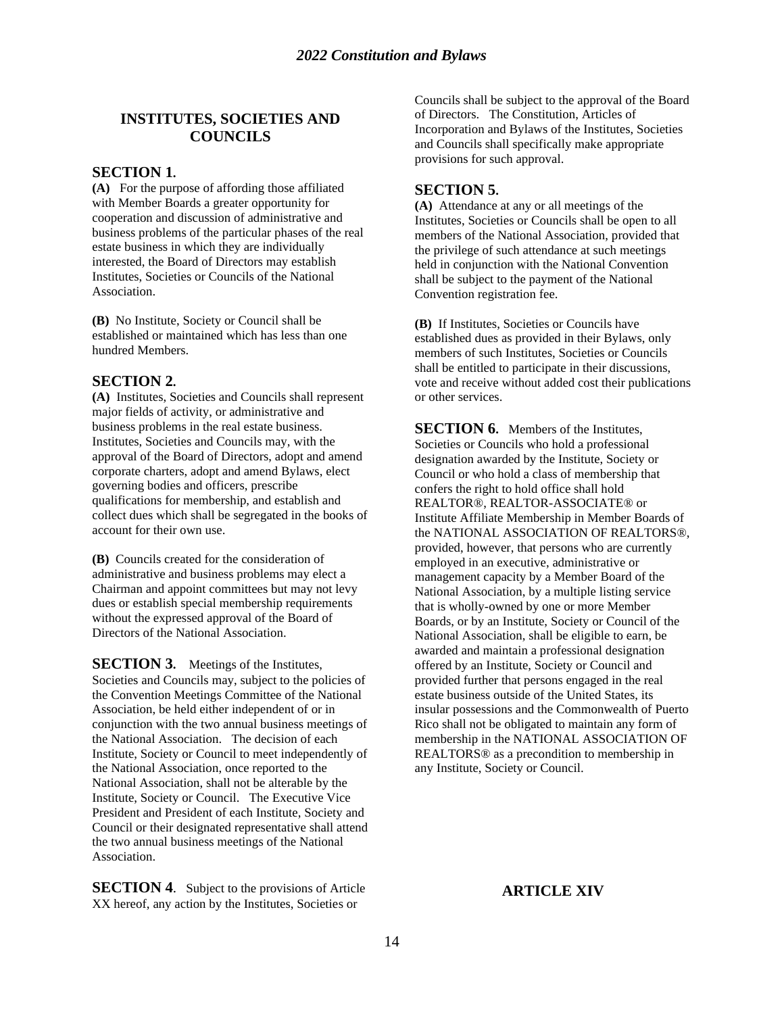## **INSTITUTES, SOCIETIES AND COUNCILS**

#### **SECTION 1.**

**(A)** For the purpose of affording those affiliated with Member Boards a greater opportunity for cooperation and discussion of administrative and business problems of the particular phases of the real estate business in which they are individually interested, the Board of Directors may establish Institutes, Societies or Councils of the National Association.

**(B)** No Institute, Society or Council shall be established or maintained which has less than one hundred Members.

#### **SECTION 2.**

**(A)** Institutes, Societies and Councils shall represent major fields of activity, or administrative and business problems in the real estate business. Institutes, Societies and Councils may, with the approval of the Board of Directors, adopt and amend corporate charters, adopt and amend Bylaws, elect governing bodies and officers, prescribe qualifications for membership, and establish and collect dues which shall be segregated in the books of account for their own use.

**(B)** Councils created for the consideration of administrative and business problems may elect a Chairman and appoint committees but may not levy dues or establish special membership requirements without the expressed approval of the Board of Directors of the National Association.

**SECTION 3.** Meetings of the Institutes, Societies and Councils may, subject to the policies of the Convention Meetings Committee of the National Association, be held either independent of or in conjunction with the two annual business meetings of the National Association. The decision of each Institute, Society or Council to meet independently of the National Association, once reported to the National Association, shall not be alterable by the Institute, Society or Council. The Executive Vice President and President of each Institute, Society and Council or their designated representative shall attend the two annual business meetings of the National Association.

**SECTION 4**.Subject to the provisions of Article XX hereof, any action by the Institutes, Societies or

Councils shall be subject to the approval of the Board of Directors. The Constitution, Articles of Incorporation and Bylaws of the Institutes, Societies and Councils shall specifically make appropriate provisions for such approval.

#### **SECTION 5.**

**(A)** Attendance at any or all meetings of the Institutes, Societies or Councils shall be open to all members of the National Association, provided that the privilege of such attendance at such meetings held in conjunction with the National Convention shall be subject to the payment of the National Convention registration fee.

**(B)** If Institutes, Societies or Councils have established dues as provided in their Bylaws, only members of such Institutes, Societies or Councils shall be entitled to participate in their discussions, vote and receive without added cost their publications or other services.

**SECTION 6.** Members of the Institutes, Societies or Councils who hold a professional designation awarded by the Institute, Society or Council or who hold a class of membership that confers the right to hold office shall hold REALTOR®, REALTOR-ASSOCIATE® or Institute Affiliate Membership in Member Boards of the NATIONAL ASSOCIATION OF REALTORS®, provided, however, that persons who are currently employed in an executive, administrative or management capacity by a Member Board of the National Association, by a multiple listing service that is wholly-owned by one or more Member Boards, or by an Institute, Society or Council of the National Association, shall be eligible to earn, be awarded and maintain a professional designation offered by an Institute, Society or Council and provided further that persons engaged in the real estate business outside of the United States, its insular possessions and the Commonwealth of Puerto Rico shall not be obligated to maintain any form of membership in the NATIONAL ASSOCIATION OF REALTORS® as a precondition to membership in any Institute, Society or Council.

## **ARTICLE XIV**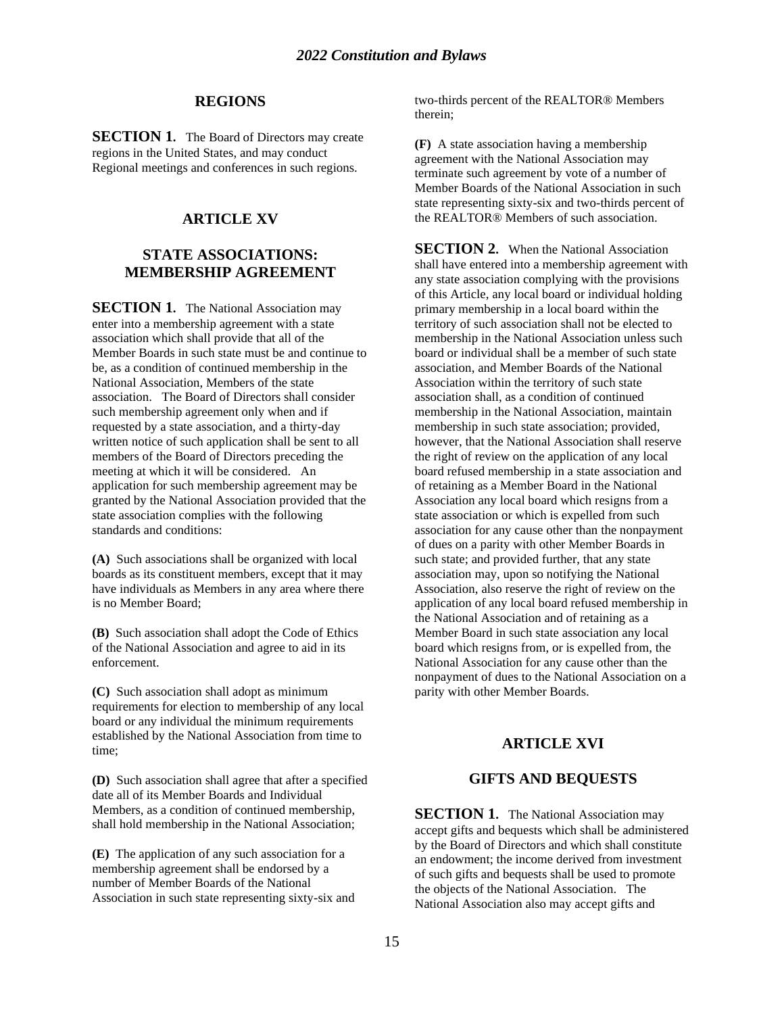#### **REGIONS**

**SECTION 1.** The Board of Directors may create regions in the United States, and may conduct Regional meetings and conferences in such regions.

## **ARTICLE XV**

## **STATE ASSOCIATIONS: MEMBERSHIP AGREEMENT**

**SECTION 1.** The National Association may enter into a membership agreement with a state association which shall provide that all of the Member Boards in such state must be and continue to be, as a condition of continued membership in the National Association, Members of the state association. The Board of Directors shall consider such membership agreement only when and if requested by a state association, and a thirty-day written notice of such application shall be sent to all members of the Board of Directors preceding the meeting at which it will be considered. An application for such membership agreement may be granted by the National Association provided that the state association complies with the following standards and conditions:

**(A)** Such associations shall be organized with local boards as its constituent members, except that it may have individuals as Members in any area where there is no Member Board;

**(B)** Such association shall adopt the Code of Ethics of the National Association and agree to aid in its enforcement.

**(C)** Such association shall adopt as minimum requirements for election to membership of any local board or any individual the minimum requirements established by the National Association from time to time;

**(D)** Such association shall agree that after a specified date all of its Member Boards and Individual Members, as a condition of continued membership, shall hold membership in the National Association;

**(E)** The application of any such association for a membership agreement shall be endorsed by a number of Member Boards of the National Association in such state representing sixty-six and two-thirds percent of the REALTOR® Members therein;

**(F)** A state association having a membership agreement with the National Association may terminate such agreement by vote of a number of Member Boards of the National Association in such state representing sixty-six and two-thirds percent of the REALTOR® Members of such association.

**SECTION 2.** When the National Association shall have entered into a membership agreement with any state association complying with the provisions of this Article, any local board or individual holding primary membership in a local board within the territory of such association shall not be elected to membership in the National Association unless such board or individual shall be a member of such state association, and Member Boards of the National Association within the territory of such state association shall, as a condition of continued membership in the National Association, maintain membership in such state association; provided, however, that the National Association shall reserve the right of review on the application of any local board refused membership in a state association and of retaining as a Member Board in the National Association any local board which resigns from a state association or which is expelled from such association for any cause other than the nonpayment of dues on a parity with other Member Boards in such state; and provided further, that any state association may, upon so notifying the National Association, also reserve the right of review on the application of any local board refused membership in the National Association and of retaining as a Member Board in such state association any local board which resigns from, or is expelled from, the National Association for any cause other than the nonpayment of dues to the National Association on a parity with other Member Boards.

## **ARTICLE XVI**

## **GIFTS AND BEQUESTS**

**SECTION 1.** The National Association may accept gifts and bequests which shall be administered by the Board of Directors and which shall constitute an endowment; the income derived from investment of such gifts and bequests shall be used to promote the objects of the National Association. The National Association also may accept gifts and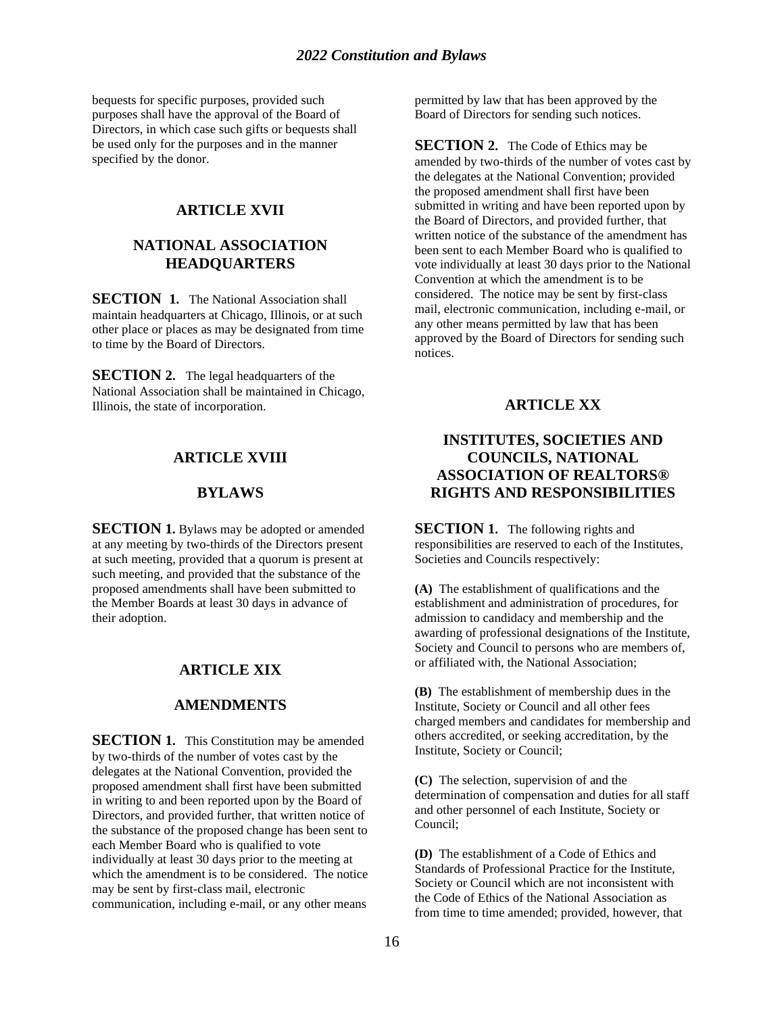bequests for specific purposes, provided such purposes shall have the approval of the Board of Directors, in which case such gifts or bequests shall be used only for the purposes and in the manner specified by the donor.

## **ARTICLE XVII**

## **NATIONAL ASSOCIATION HEADQUARTERS**

**SECTION 1.** The National Association shall maintain headquarters at Chicago, Illinois, or at such other place or places as may be designated from time to time by the Board of Directors.

**SECTION 2.** The legal headquarters of the National Association shall be maintained in Chicago, Illinois, the state of incorporation.

## **ARTICLE XVIII**

#### **BYLAWS**

**SECTION 1.** Bylaws may be adopted or amended at any meeting by two-thirds of the Directors present at such meeting, provided that a quorum is present at such meeting, and provided that the substance of the proposed amendments shall have been submitted to the Member Boards at least 30 days in advance of their adoption.

## **ARTICLE XIX**

## **AMENDMENTS**

**SECTION 1.** This Constitution may be amended by two-thirds of the number of votes cast by the delegates at the National Convention, provided the proposed amendment shall first have been submitted in writing to and been reported upon by the Board of Directors, and provided further, that written notice of the substance of the proposed change has been sent to each Member Board who is qualified to vote individually at least 30 days prior to the meeting at which the amendment is to be considered. The notice may be sent by first-class mail, electronic communication, including e-mail, or any other means

permitted by law that has been approved by the Board of Directors for sending such notices.

**SECTION 2.** The Code of Ethics may be amended by two-thirds of the number of votes cast by the delegates at the National Convention; provided the proposed amendment shall first have been submitted in writing and have been reported upon by the Board of Directors, and provided further, that written notice of the substance of the amendment has been sent to each Member Board who is qualified to vote individually at least 30 days prior to the National Convention at which the amendment is to be considered. The notice may be sent by first-class mail, electronic communication, including e-mail, or any other means permitted by law that has been approved by the Board of Directors for sending such notices.

## **ARTICLE XX**

## **INSTITUTES, SOCIETIES AND COUNCILS, NATIONAL ASSOCIATION OF REALTORS® RIGHTS AND RESPONSIBILITIES**

**SECTION 1.** The following rights and responsibilities are reserved to each of the Institutes, Societies and Councils respectively:

**(A)** The establishment of qualifications and the establishment and administration of procedures, for admission to candidacy and membership and the awarding of professional designations of the Institute, Society and Council to persons who are members of, or affiliated with, the National Association;

**(B)** The establishment of membership dues in the Institute, Society or Council and all other fees charged members and candidates for membership and others accredited, or seeking accreditation, by the Institute, Society or Council;

**(C)** The selection, supervision of and the determination of compensation and duties for all staff and other personnel of each Institute, Society or Council;

**(D)** The establishment of a Code of Ethics and Standards of Professional Practice for the Institute, Society or Council which are not inconsistent with the Code of Ethics of the National Association as from time to time amended; provided, however, that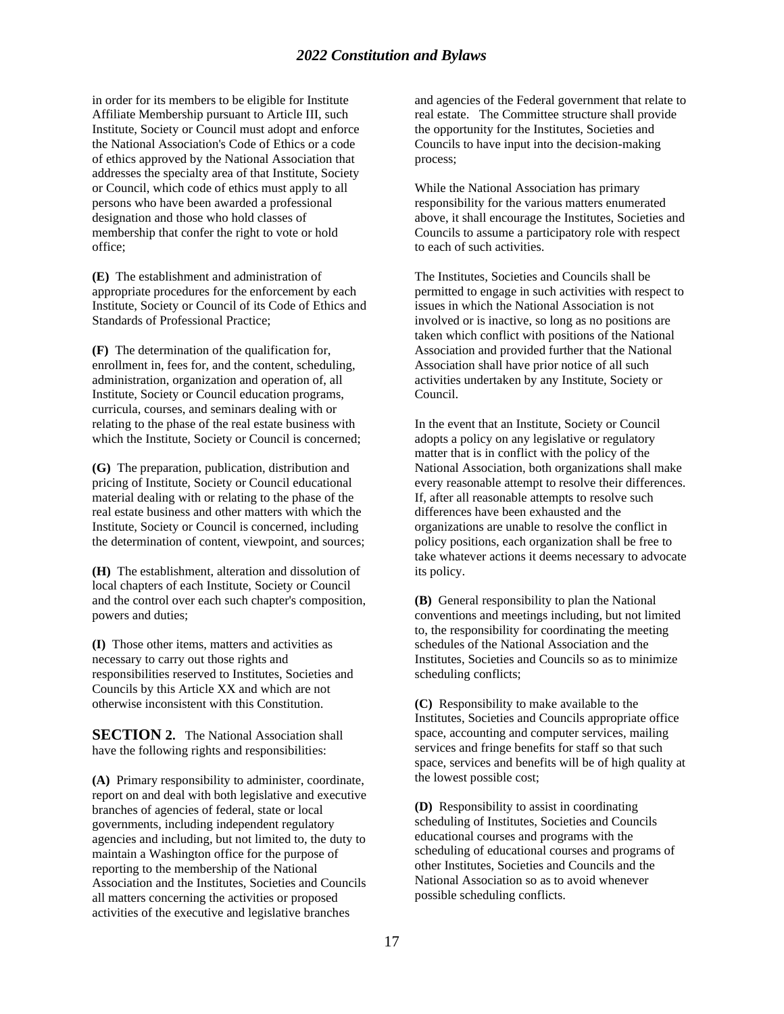## *2022 Constitution and Bylaws*

in order for its members to be eligible for Institute Affiliate Membership pursuant to Article III, such Institute, Society or Council must adopt and enforce the National Association's Code of Ethics or a code of ethics approved by the National Association that addresses the specialty area of that Institute, Society or Council, which code of ethics must apply to all persons who have been awarded a professional designation and those who hold classes of membership that confer the right to vote or hold office;

**(E)** The establishment and administration of appropriate procedures for the enforcement by each Institute, Society or Council of its Code of Ethics and Standards of Professional Practice;

**(F)** The determination of the qualification for, enrollment in, fees for, and the content, scheduling, administration, organization and operation of, all Institute, Society or Council education programs, curricula, courses, and seminars dealing with or relating to the phase of the real estate business with which the Institute, Society or Council is concerned;

**(G)** The preparation, publication, distribution and pricing of Institute, Society or Council educational material dealing with or relating to the phase of the real estate business and other matters with which the Institute, Society or Council is concerned, including the determination of content, viewpoint, and sources;

**(H)** The establishment, alteration and dissolution of local chapters of each Institute, Society or Council and the control over each such chapter's composition, powers and duties;

**(I)** Those other items, matters and activities as necessary to carry out those rights and responsibilities reserved to Institutes, Societies and Councils by this Article XX and which are not otherwise inconsistent with this Constitution.

**SECTION 2.** The National Association shall have the following rights and responsibilities:

**(A)** Primary responsibility to administer, coordinate, report on and deal with both legislative and executive branches of agencies of federal, state or local governments, including independent regulatory agencies and including, but not limited to, the duty to maintain a Washington office for the purpose of reporting to the membership of the National Association and the Institutes, Societies and Councils all matters concerning the activities or proposed activities of the executive and legislative branches

and agencies of the Federal government that relate to real estate. The Committee structure shall provide the opportunity for the Institutes, Societies and Councils to have input into the decision-making process;

While the National Association has primary responsibility for the various matters enumerated above, it shall encourage the Institutes, Societies and Councils to assume a participatory role with respect to each of such activities.

The Institutes, Societies and Councils shall be permitted to engage in such activities with respect to issues in which the National Association is not involved or is inactive, so long as no positions are taken which conflict with positions of the National Association and provided further that the National Association shall have prior notice of all such activities undertaken by any Institute, Society or Council.

In the event that an Institute, Society or Council adopts a policy on any legislative or regulatory matter that is in conflict with the policy of the National Association, both organizations shall make every reasonable attempt to resolve their differences. If, after all reasonable attempts to resolve such differences have been exhausted and the organizations are unable to resolve the conflict in policy positions, each organization shall be free to take whatever actions it deems necessary to advocate its policy.

**(B)** General responsibility to plan the National conventions and meetings including, but not limited to, the responsibility for coordinating the meeting schedules of the National Association and the Institutes, Societies and Councils so as to minimize scheduling conflicts;

**(C)** Responsibility to make available to the Institutes, Societies and Councils appropriate office space, accounting and computer services, mailing services and fringe benefits for staff so that such space, services and benefits will be of high quality at the lowest possible cost;

**(D)** Responsibility to assist in coordinating scheduling of Institutes, Societies and Councils educational courses and programs with the scheduling of educational courses and programs of other Institutes, Societies and Councils and the National Association so as to avoid whenever possible scheduling conflicts.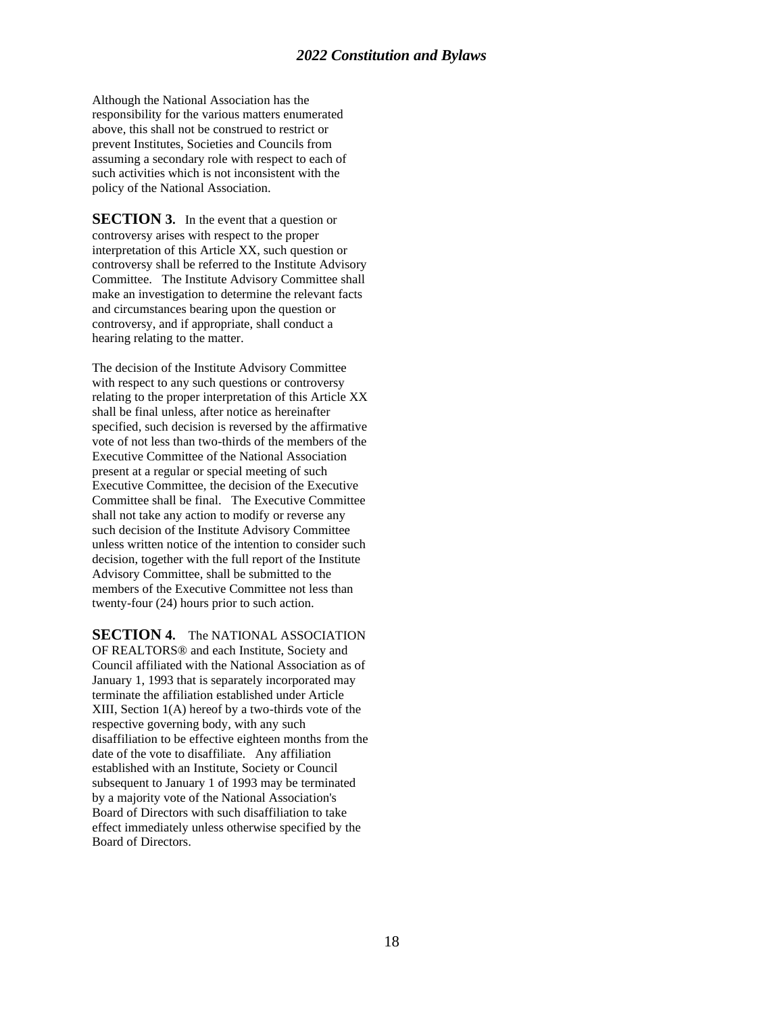Although the National Association has the responsibility for the various matters enumerated above, this shall not be construed to restrict or prevent Institutes, Societies and Councils from assuming a secondary role with respect to each of such activities which is not inconsistent with the policy of the National Association.

**SECTION 3.** In the event that a question or controversy arises with respect to the proper interpretation of this Article XX, such question or controversy shall be referred to the Institute Advisory Committee. The Institute Advisory Committee shall make an investigation to determine the relevant facts and circumstances bearing upon the question or controversy, and if appropriate, shall conduct a hearing relating to the matter.

The decision of the Institute Advisory Committee with respect to any such questions or controversy relating to the proper interpretation of this Article XX shall be final unless, after notice as hereinafter specified, such decision is reversed by the affirmative vote of not less than two-thirds of the members of the Executive Committee of the National Association present at a regular or special meeting of such Executive Committee, the decision of the Executive Committee shall be final. The Executive Committee shall not take any action to modify or reverse any such decision of the Institute Advisory Committee unless written notice of the intention to consider such decision, together with the full report of the Institute Advisory Committee, shall be submitted to the members of the Executive Committee not less than twenty-four (24) hours prior to such action.

**SECTION 4.** The NATIONAL ASSOCIATION

OF REALTORS® and each Institute, Society and Council affiliated with the National Association as of January 1, 1993 that is separately incorporated may terminate the affiliation established under Article XIII, Section 1(A) hereof by a two-thirds vote of the respective governing body, with any such disaffiliation to be effective eighteen months from the date of the vote to disaffiliate. Any affiliation established with an Institute, Society or Council subsequent to January 1 of 1993 may be terminated by a majority vote of the National Association's Board of Directors with such disaffiliation to take effect immediately unless otherwise specified by the Board of Directors.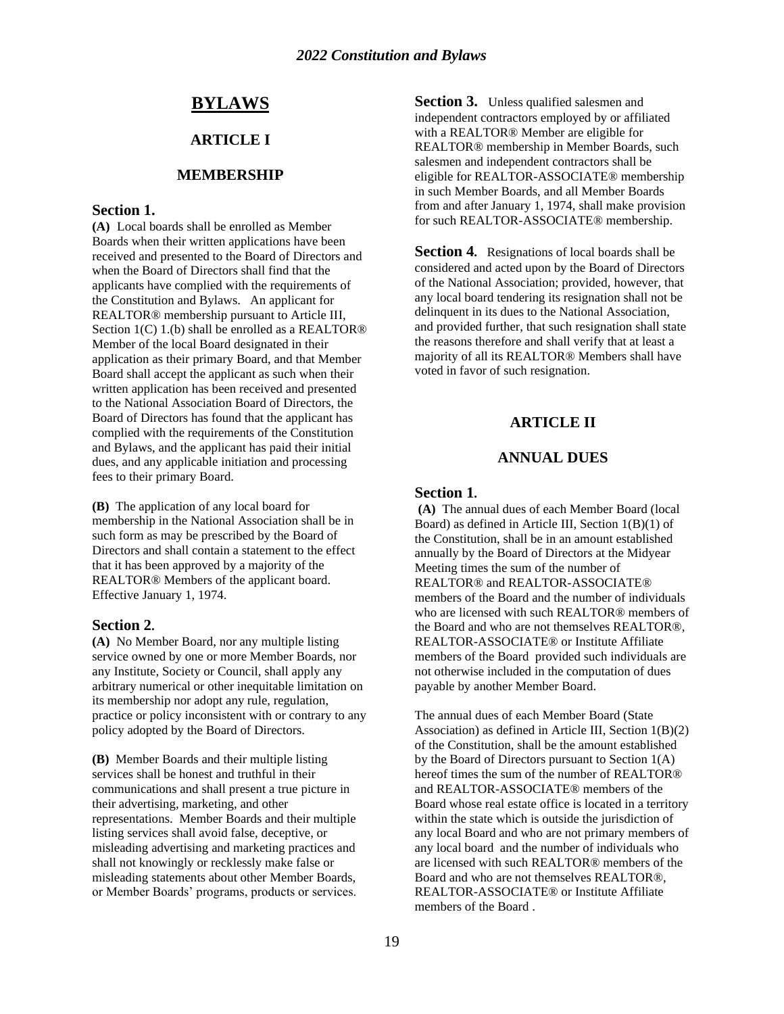## **BYLAWS**

## **ARTICLE I**

#### **MEMBERSHIP**

## **Section 1.**

**(A)** Local boards shall be enrolled as Member Boards when their written applications have been received and presented to the Board of Directors and when the Board of Directors shall find that the applicants have complied with the requirements of the Constitution and Bylaws. An applicant for REALTOR® membership pursuant to Article III, Section 1(C) 1.(b) shall be enrolled as a REALTOR<sup>®</sup> Member of the local Board designated in their application as their primary Board, and that Member Board shall accept the applicant as such when their written application has been received and presented to the National Association Board of Directors, the Board of Directors has found that the applicant has complied with the requirements of the Constitution and Bylaws, and the applicant has paid their initial dues, and any applicable initiation and processing fees to their primary Board.

**(B)** The application of any local board for membership in the National Association shall be in such form as may be prescribed by the Board of Directors and shall contain a statement to the effect that it has been approved by a majority of the REALTOR® Members of the applicant board. Effective January 1, 1974.

#### **Section 2.**

**(A)** No Member Board, nor any multiple listing service owned by one or more Member Boards, nor any Institute, Society or Council, shall apply any arbitrary numerical or other inequitable limitation on its membership nor adopt any rule, regulation, practice or policy inconsistent with or contrary to any policy adopted by the Board of Directors.

**(B)** Member Boards and their multiple listing services shall be honest and truthful in their communications and shall present a true picture in their advertising, marketing, and other representations. Member Boards and their multiple listing services shall avoid false, deceptive, or misleading advertising and marketing practices and shall not knowingly or recklessly make false or misleading statements about other Member Boards, or Member Boards' programs, products or services. **Section 3.** Unless qualified salesmen and independent contractors employed by or affiliated with a REALTOR® Member are eligible for REALTOR® membership in Member Boards, such salesmen and independent contractors shall be eligible for REALTOR-ASSOCIATE® membership in such Member Boards, and all Member Boards from and after January 1, 1974, shall make provision for such REALTOR-ASSOCIATE® membership.

**Section 4.** Resignations of local boards shall be considered and acted upon by the Board of Directors of the National Association; provided, however, that any local board tendering its resignation shall not be delinquent in its dues to the National Association, and provided further, that such resignation shall state the reasons therefore and shall verify that at least a majority of all its REALTOR® Members shall have voted in favor of such resignation.

#### **ARTICLE II**

#### **ANNUAL DUES**

#### **Section 1.**

**(A)** The annual dues of each Member Board (local Board) as defined in Article III, Section 1(B)(1) of the Constitution, shall be in an amount established annually by the Board of Directors at the Midyear Meeting times the sum of the number of REALTOR® and REALTOR-ASSOCIATE® members of the Board and the number of individuals who are licensed with such REALTOR® members of the Board and who are not themselves REALTOR®, REALTOR-ASSOCIATE® or Institute Affiliate members of the Board provided such individuals are not otherwise included in the computation of dues payable by another Member Board.

The annual dues of each Member Board (State Association) as defined in Article III, Section 1(B)(2) of the Constitution, shall be the amount established by the Board of Directors pursuant to Section 1(A) hereof times the sum of the number of REALTOR® and REALTOR-ASSOCIATE® members of the Board whose real estate office is located in a territory within the state which is outside the jurisdiction of any local Board and who are not primary members of any local board and the number of individuals who are licensed with such REALTOR® members of the Board and who are not themselves REALTOR®, REALTOR-ASSOCIATE® or Institute Affiliate members of the Board .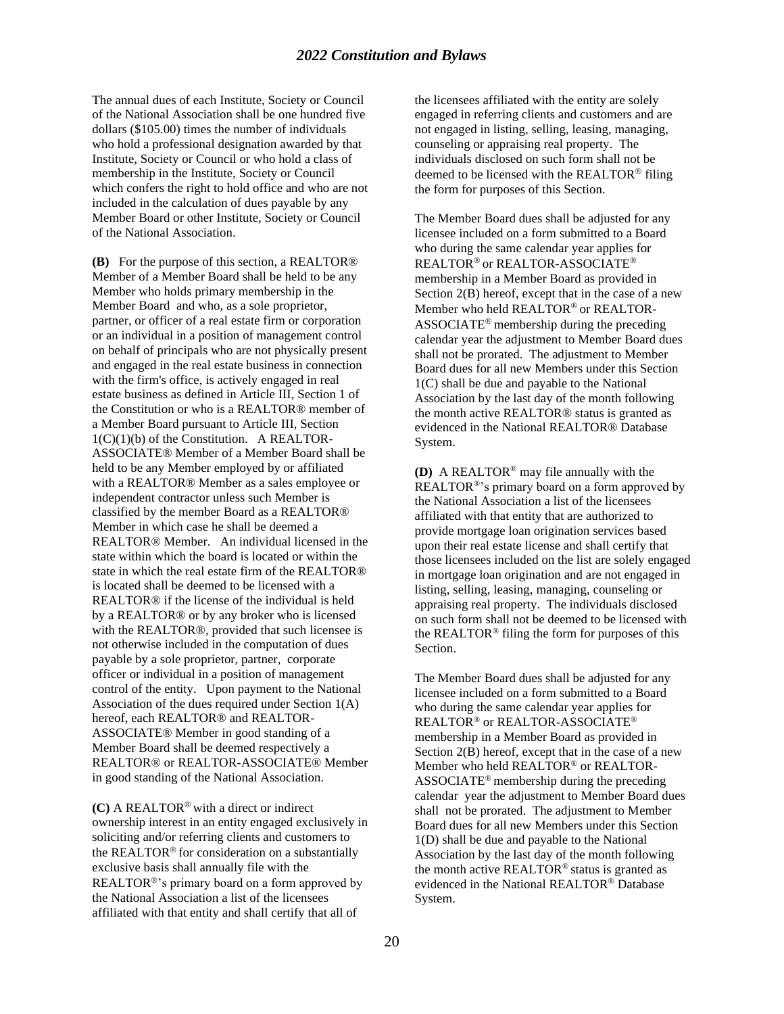## *2022 Constitution and Bylaws*

The annual dues of each Institute, Society or Council of the National Association shall be one hundred five dollars (\$105.00) times the number of individuals who hold a professional designation awarded by that Institute, Society or Council or who hold a class of membership in the Institute, Society or Council which confers the right to hold office and who are not included in the calculation of dues payable by any Member Board or other Institute, Society or Council of the National Association.

**(B)** For the purpose of this section, a REALTOR® Member of a Member Board shall be held to be any Member who holds primary membership in the Member Board and who, as a sole proprietor, partner, or officer of a real estate firm or corporation or an individual in a position of management control on behalf of principals who are not physically present and engaged in the real estate business in connection with the firm's office, is actively engaged in real estate business as defined in Article III, Section 1 of the Constitution or who is a REALTOR® member of a Member Board pursuant to Article III, Section  $1(C)(1)(b)$  of the Constitution. A REALTOR-ASSOCIATE® Member of a Member Board shall be held to be any Member employed by or affiliated with a REALTOR® Member as a sales employee or independent contractor unless such Member is classified by the member Board as a REALTOR® Member in which case he shall be deemed a REALTOR® Member. An individual licensed in the state within which the board is located or within the state in which the real estate firm of the REALTOR® is located shall be deemed to be licensed with a REALTOR® if the license of the individual is held by a REALTOR® or by any broker who is licensed with the REALTOR®, provided that such licensee is not otherwise included in the computation of dues payable by a sole proprietor, partner, corporate officer or individual in a position of management control of the entity. Upon payment to the National Association of the dues required under Section 1(A) hereof, each REALTOR® and REALTOR-ASSOCIATE® Member in good standing of a Member Board shall be deemed respectively a REALTOR® or REALTOR-ASSOCIATE® Member in good standing of the National Association.

(C) A REALTOR<sup>®</sup> with a direct or indirect ownership interest in an entity engaged exclusively in soliciting and/or referring clients and customers to the REALTOR® for consideration on a substantially exclusive basis shall annually file with the REALTOR<sup>®</sup>'s primary board on a form approved by the National Association a list of the licensees affiliated with that entity and shall certify that all of

the licensees affiliated with the entity are solely engaged in referring clients and customers and are not engaged in listing, selling, leasing, managing, counseling or appraising real property. The individuals disclosed on such form shall not be deemed to be licensed with the REALTOR<sup>®</sup> filing the form for purposes of this Section.

The Member Board dues shall be adjusted for any licensee included on a form submitted to a Board who during the same calendar year applies for REALTOR<sup>®</sup> or REALTOR-ASSOCIATE<sup>®</sup> membership in a Member Board as provided in Section 2(B) hereof, except that in the case of a new Member who held REALTOR® or REALTOR-ASSOCIATE<sup>®</sup> membership during the preceding calendar year the adjustment to Member Board dues shall not be prorated. The adjustment to Member Board dues for all new Members under this Section 1(C) shall be due and payable to the National Association by the last day of the month following the month active REALTOR® status is granted as evidenced in the National REALTOR® Database System.

**(D)** A REALTOR® may file annually with the REALTOR®'s primary board on a form approved by the National Association a list of the licensees affiliated with that entity that are authorized to provide mortgage loan origination services based upon their real estate license and shall certify that those licensees included on the list are solely engaged in mortgage loan origination and are not engaged in listing, selling, leasing, managing, counseling or appraising real property. The individuals disclosed on such form shall not be deemed to be licensed with the REALTOR® filing the form for purposes of this Section.

The Member Board dues shall be adjusted for any licensee included on a form submitted to a Board who during the same calendar year applies for REALTOR® or REALTOR-ASSOCIATE® membership in a Member Board as provided in Section 2(B) hereof, except that in the case of a new Member who held REALTOR® or REALTOR-ASSOCIATE® membership during the preceding calendar year the adjustment to Member Board dues shall not be prorated. The adjustment to Member Board dues for all new Members under this Section 1(D) shall be due and payable to the National Association by the last day of the month following the month active REALTOR® status is granted as evidenced in the National REALTOR® Database System.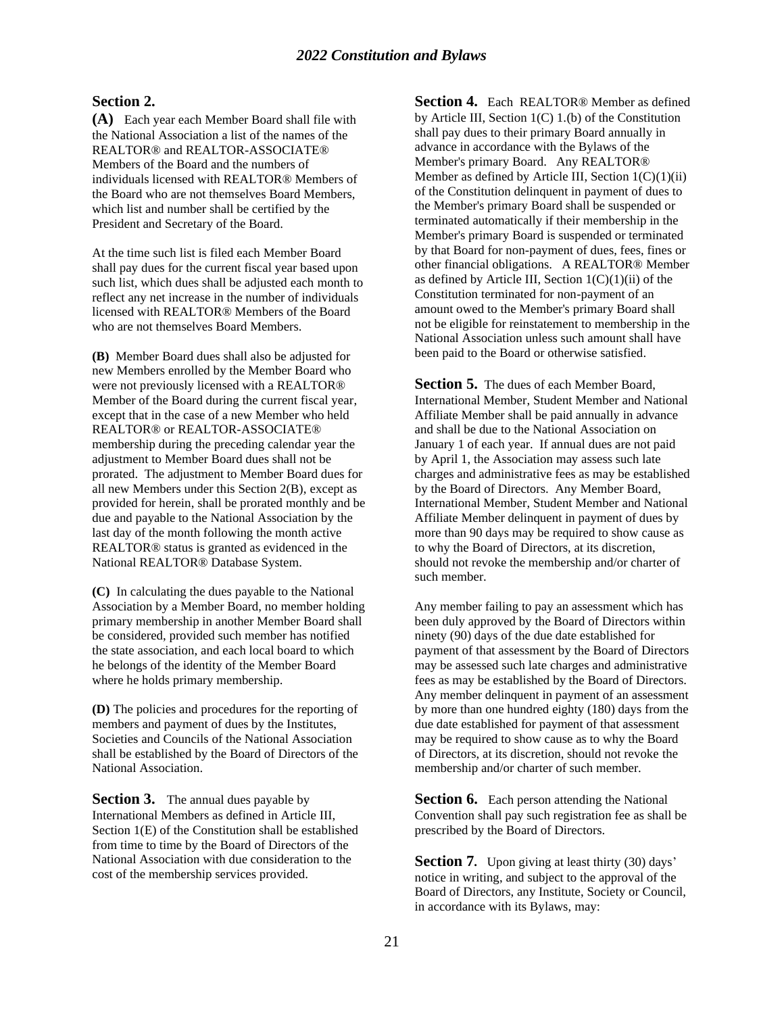#### **Section 2.**

**(A)** Each year each Member Board shall file with the National Association a list of the names of the REALTOR® and REALTOR-ASSOCIATE® Members of the Board and the numbers of individuals licensed with REALTOR® Members of the Board who are not themselves Board Members, which list and number shall be certified by the President and Secretary of the Board.

At the time such list is filed each Member Board shall pay dues for the current fiscal year based upon such list, which dues shall be adjusted each month to reflect any net increase in the number of individuals licensed with REALTOR® Members of the Board who are not themselves Board Members.

**(B)** Member Board dues shall also be adjusted for new Members enrolled by the Member Board who were not previously licensed with a REALTOR® Member of the Board during the current fiscal year, except that in the case of a new Member who held REALTOR® or REALTOR-ASSOCIATE® membership during the preceding calendar year the adjustment to Member Board dues shall not be prorated. The adjustment to Member Board dues for all new Members under this Section 2(B), except as provided for herein, shall be prorated monthly and be due and payable to the National Association by the last day of the month following the month active REALTOR® status is granted as evidenced in the National REALTOR® Database System.

**(C)** In calculating the dues payable to the National Association by a Member Board, no member holding primary membership in another Member Board shall be considered, provided such member has notified the state association, and each local board to which he belongs of the identity of the Member Board where he holds primary membership.

**(D)** The policies and procedures for the reporting of members and payment of dues by the Institutes, Societies and Councils of the National Association shall be established by the Board of Directors of the National Association.

**Section 3.** The annual dues payable by International Members as defined in Article III, Section 1(E) of the Constitution shall be established from time to time by the Board of Directors of the National Association with due consideration to the cost of the membership services provided.

**Section 4.** Each REALTOR® Member as defined by Article III, Section  $1(C)$  1.(b) of the Constitution shall pay dues to their primary Board annually in advance in accordance with the Bylaws of the Member's primary Board. Any REALTOR® Member as defined by Article III, Section  $1(C)(1)(ii)$ of the Constitution delinquent in payment of dues to the Member's primary Board shall be suspended or terminated automatically if their membership in the Member's primary Board is suspended or terminated by that Board for non-payment of dues, fees, fines or other financial obligations. A REALTOR® Member as defined by Article III, Section  $1(C)(1)(ii)$  of the Constitution terminated for non-payment of an amount owed to the Member's primary Board shall not be eligible for reinstatement to membership in the National Association unless such amount shall have been paid to the Board or otherwise satisfied.

**Section 5.** The dues of each Member Board, International Member, Student Member and National Affiliate Member shall be paid annually in advance and shall be due to the National Association on January 1 of each year. If annual dues are not paid by April 1, the Association may assess such late charges and administrative fees as may be established by the Board of Directors. Any Member Board, International Member, Student Member and National Affiliate Member delinquent in payment of dues by more than 90 days may be required to show cause as to why the Board of Directors, at its discretion, should not revoke the membership and/or charter of such member.

Any member failing to pay an assessment which has been duly approved by the Board of Directors within ninety (90) days of the due date established for payment of that assessment by the Board of Directors may be assessed such late charges and administrative fees as may be established by the Board of Directors. Any member delinquent in payment of an assessment by more than one hundred eighty (180) days from the due date established for payment of that assessment may be required to show cause as to why the Board of Directors, at its discretion, should not revoke the membership and/or charter of such member.

**Section 6.** Each person attending the National Convention shall pay such registration fee as shall be prescribed by the Board of Directors.

**Section 7.** Upon giving at least thirty (30) days' notice in writing, and subject to the approval of the Board of Directors, any Institute, Society or Council, in accordance with its Bylaws, may: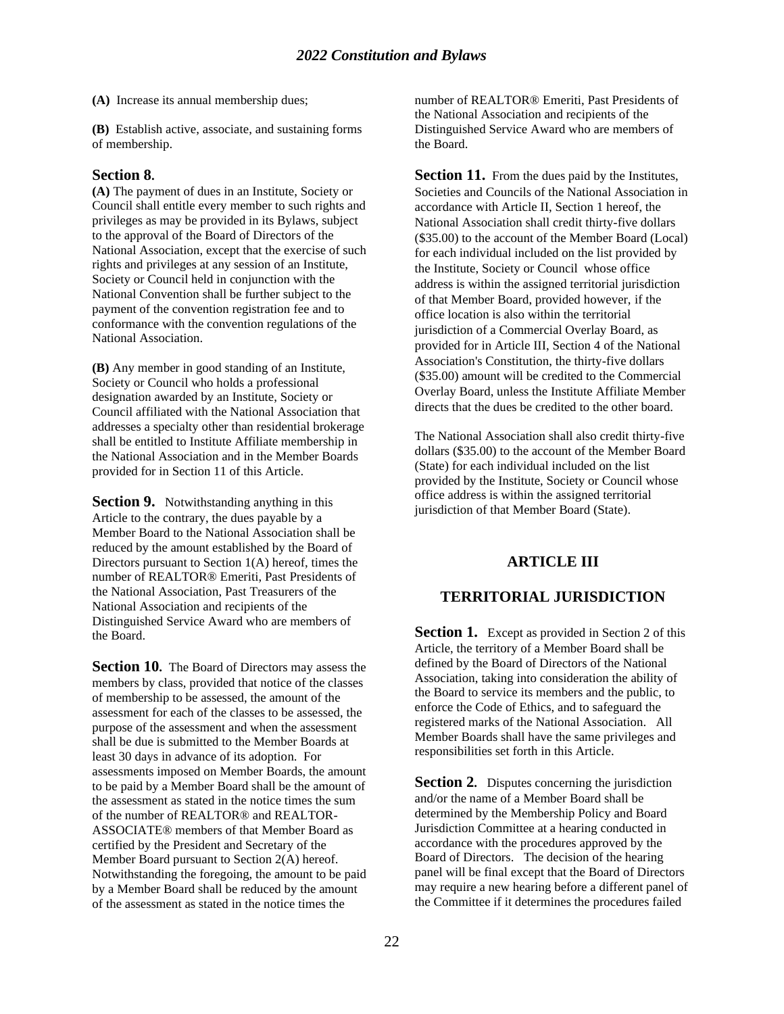**(A)** Increase its annual membership dues;

**(B)** Establish active, associate, and sustaining forms of membership.

#### **Section 8.**

**(A)** The payment of dues in an Institute, Society or Council shall entitle every member to such rights and privileges as may be provided in its Bylaws, subject to the approval of the Board of Directors of the National Association, except that the exercise of such rights and privileges at any session of an Institute, Society or Council held in conjunction with the National Convention shall be further subject to the payment of the convention registration fee and to conformance with the convention regulations of the National Association.

**(B)** Any member in good standing of an Institute, Society or Council who holds a professional designation awarded by an Institute, Society or Council affiliated with the National Association that addresses a specialty other than residential brokerage shall be entitled to Institute Affiliate membership in the National Association and in the Member Boards provided for in Section 11 of this Article.

**Section 9.** Notwithstanding anything in this Article to the contrary, the dues payable by a Member Board to the National Association shall be reduced by the amount established by the Board of Directors pursuant to Section 1(A) hereof, times the number of REALTOR® Emeriti, Past Presidents of the National Association, Past Treasurers of the National Association and recipients of the Distinguished Service Award who are members of the Board.

**Section 10.** The Board of Directors may assess the members by class, provided that notice of the classes of membership to be assessed, the amount of the assessment for each of the classes to be assessed, the purpose of the assessment and when the assessment shall be due is submitted to the Member Boards at least 30 days in advance of its adoption. For assessments imposed on Member Boards, the amount to be paid by a Member Board shall be the amount of the assessment as stated in the notice times the sum of the number of REALTOR® and REALTOR-ASSOCIATE® members of that Member Board as certified by the President and Secretary of the Member Board pursuant to Section 2(A) hereof. Notwithstanding the foregoing, the amount to be paid by a Member Board shall be reduced by the amount of the assessment as stated in the notice times the

number of REALTOR® Emeriti, Past Presidents of the National Association and recipients of the Distinguished Service Award who are members of the Board.

**Section 11.** From the dues paid by the Institutes, Societies and Councils of the National Association in accordance with Article II, Section 1 hereof, the National Association shall credit thirty-five dollars (\$35.00) to the account of the Member Board (Local) for each individual included on the list provided by the Institute, Society or Council whose office address is within the assigned territorial jurisdiction of that Member Board, provided however, if the office location is also within the territorial jurisdiction of a Commercial Overlay Board, as provided for in Article III, Section 4 of the National Association's Constitution, the thirty-five dollars (\$35.00) amount will be credited to the Commercial Overlay Board, unless the Institute Affiliate Member directs that the dues be credited to the other board.

The National Association shall also credit thirty-five dollars (\$35.00) to the account of the Member Board (State) for each individual included on the list provided by the Institute, Society or Council whose office address is within the assigned territorial jurisdiction of that Member Board (State).

#### **ARTICLE III**

#### **TERRITORIAL JURISDICTION**

**Section 1.** Except as provided in Section 2 of this Article, the territory of a Member Board shall be defined by the Board of Directors of the National Association, taking into consideration the ability of the Board to service its members and the public, to enforce the Code of Ethics, and to safeguard the registered marks of the National Association. All Member Boards shall have the same privileges and responsibilities set forth in this Article.

**Section 2.** Disputes concerning the jurisdiction and/or the name of a Member Board shall be determined by the Membership Policy and Board Jurisdiction Committee at a hearing conducted in accordance with the procedures approved by the Board of Directors. The decision of the hearing panel will be final except that the Board of Directors may require a new hearing before a different panel of the Committee if it determines the procedures failed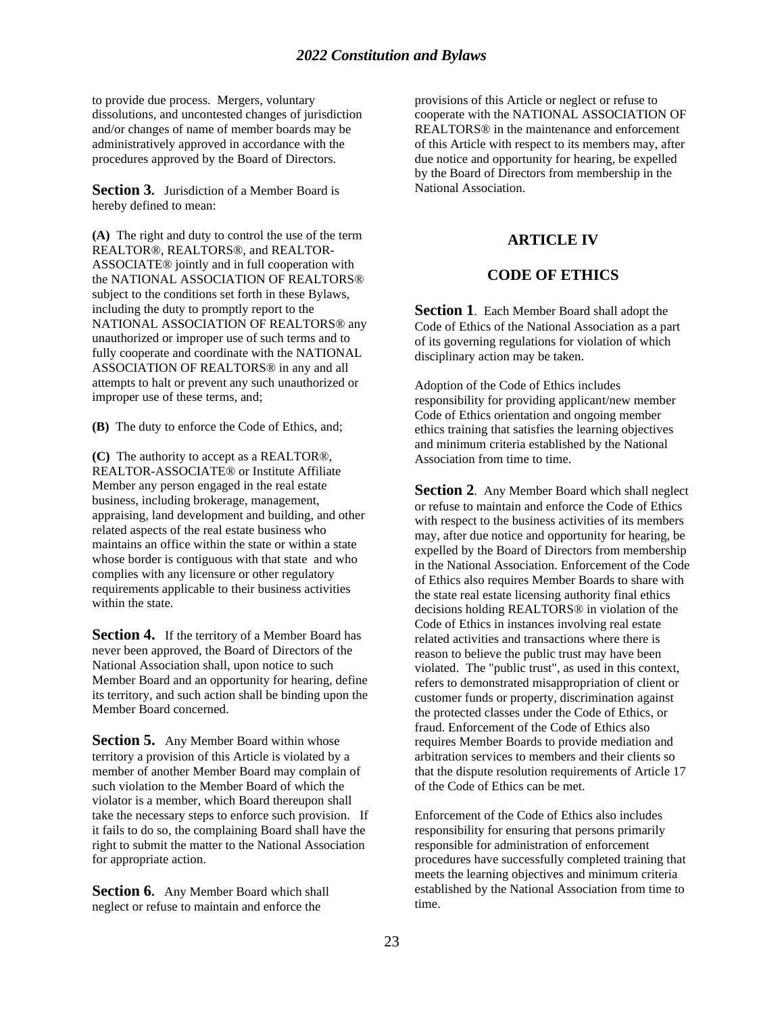to provide due process. Mergers, voluntary dissolutions, and uncontested changes of jurisdiction and/or changes of name of member boards may be administratively approved in accordance with the procedures approved by the Board of Directors.

**Section 3.** Jurisdiction of a Member Board is hereby defined to mean:

**(A)** The right and duty to control the use of the term REALTOR®, REALTORS®, and REALTOR-ASSOCIATE® jointly and in full cooperation with the NATIONAL ASSOCIATION OF REALTORS® subject to the conditions set forth in these Bylaws, including the duty to promptly report to the NATIONAL ASSOCIATION OF REALTORS® any unauthorized or improper use of such terms and to fully cooperate and coordinate with the NATIONAL ASSOCIATION OF REALTORS® in any and all attempts to halt or prevent any such unauthorized or improper use of these terms, and;

**(B)** The duty to enforce the Code of Ethics, and;

**(C)** The authority to accept as a REALTOR®, REALTOR-ASSOCIATE® or Institute Affiliate Member any person engaged in the real estate business, including brokerage, management, appraising, land development and building, and other related aspects of the real estate business who maintains an office within the state or within a state whose border is contiguous with that state and who complies with any licensure or other regulatory requirements applicable to their business activities within the state.

**Section 4.** If the territory of a Member Board has never been approved, the Board of Directors of the National Association shall, upon notice to such Member Board and an opportunity for hearing, define its territory, and such action shall be binding upon the Member Board concerned.

**Section 5.** Any Member Board within whose territory a provision of this Article is violated by a member of another Member Board may complain of such violation to the Member Board of which the violator is a member, which Board thereupon shall take the necessary steps to enforce such provision. If it fails to do so, the complaining Board shall have the right to submit the matter to the National Association for appropriate action.

**Section 6.** Any Member Board which shall neglect or refuse to maintain and enforce the

provisions of this Article or neglect or refuse to cooperate with the NATIONAL ASSOCIATION OF REALTORS® in the maintenance and enforcement of this Article with respect to its members may, after due notice and opportunity for hearing, be expelled by the Board of Directors from membership in the National Association.

## **ARTICLE IV**

## **CODE OF ETHICS**

**Section 1.** Each Member Board shall adopt the Code of Ethics of the National Association as a part of its governing regulations for violation of which disciplinary action may be taken.

Adoption of the Code of Ethics includes responsibility for providing applicant/new member Code of Ethics orientation and ongoing member ethics training that satisfies the learning objectives and minimum criteria established by the National Association from time to time.

**Section 2.** Any Member Board which shall neglect or refuse to maintain and enforce the Code of Ethics with respect to the business activities of its members may, after due notice and opportunity for hearing, be expelled by the Board of Directors from membership in the National Association. Enforcement of the Code of Ethics also requires Member Boards to share with the state real estate licensing authority final ethics decisions holding REALTORS® in violation of the Code of Ethics in instances involving real estate related activities and transactions where there is reason to believe the public trust may have been violated. The "public trust", as used in this context, refers to demonstrated misappropriation of client or customer funds or property, discrimination against the protected classes under the Code of Ethics, or fraud. Enforcement of the Code of Ethics also requires Member Boards to provide mediation and arbitration services to members and their clients so that the dispute resolution requirements of Article 17 of the Code of Ethics can be met.

Enforcement of the Code of Ethics also includes responsibility for ensuring that persons primarily responsible for administration of enforcement procedures have successfully completed training that meets the learning objectives and minimum criteria established by the National Association from time to time.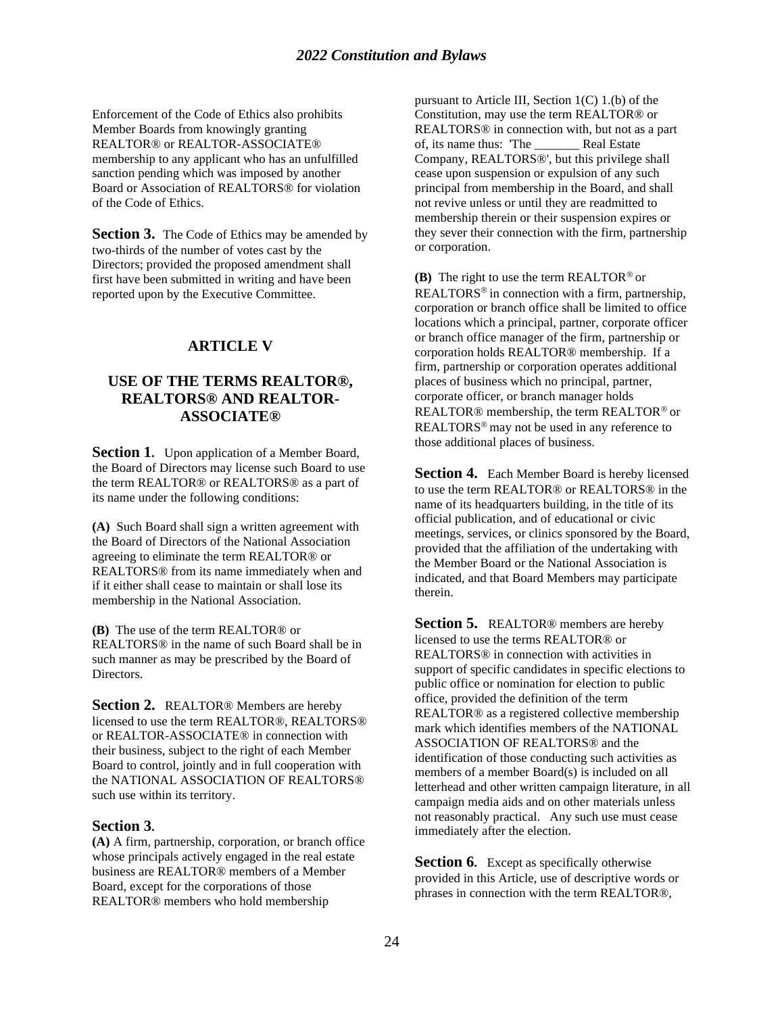## *2022 Constitution and Bylaws*

Enforcement of the Code of Ethics also prohibits Member Boards from knowingly granting REALTOR® or REALTOR-ASSOCIATE® membership to any applicant who has an unfulfilled sanction pending which was imposed by another Board or Association of REALTORS® for violation of the Code of Ethics.

**Section 3.** The Code of Ethics may be amended by two-thirds of the number of votes cast by the Directors; provided the proposed amendment shall first have been submitted in writing and have been reported upon by the Executive Committee.

## **ARTICLE V**

## **USE OF THE TERMS REALTOR®, REALTORS® AND REALTOR-ASSOCIATE®**

**Section 1.** Upon application of a Member Board, the Board of Directors may license such Board to use the term REALTOR® or REALTORS® as a part of its name under the following conditions:

**(A)** Such Board shall sign a written agreement with the Board of Directors of the National Association agreeing to eliminate the term REALTOR® or REALTORS® from its name immediately when and if it either shall cease to maintain or shall lose its membership in the National Association.

**(B)** The use of the term REALTOR® or REALTORS® in the name of such Board shall be in such manner as may be prescribed by the Board of Directors.

**Section 2.** REALTOR<sup>®</sup> Members are hereby licensed to use the term REALTOR®, REALTORS® or REALTOR-ASSOCIATE® in connection with their business, subject to the right of each Member Board to control, jointly and in full cooperation with the NATIONAL ASSOCIATION OF REALTORS® such use within its territory.

#### **Section 3.**

**(A)** A firm, partnership, corporation, or branch office whose principals actively engaged in the real estate business are REALTOR® members of a Member Board, except for the corporations of those REALTOR® members who hold membership

pursuant to Article III, Section 1(C) 1.(b) of the Constitution, may use the term REALTOR® or REALTORS® in connection with, but not as a part of, its name thus: 'The \_\_\_\_\_\_\_ Real Estate Company, REALTORS®', but this privilege shall cease upon suspension or expulsion of any such principal from membership in the Board, and shall not revive unless or until they are readmitted to membership therein or their suspension expires or they sever their connection with the firm, partnership or corporation.

**(B)** The right to use the term REALTOR<sup> $\circledcirc$ </sup> or REALTORS<sup>®</sup> in connection with a firm, partnership, corporation or branch office shall be limited to office locations which a principal, partner, corporate officer or branch office manager of the firm, partnership or corporation holds REALTOR® membership. If a firm, partnership or corporation operates additional places of business which no principal, partner, corporate officer, or branch manager holds REALTOR<sup>®</sup> membership, the term REALTOR<sup>®</sup> or REALTORS<sup>®</sup> may not be used in any reference to those additional places of business.

**Section 4.** Each Member Board is hereby licensed to use the term REALTOR® or REALTORS® in the name of its headquarters building, in the title of its official publication, and of educational or civic meetings, services, or clinics sponsored by the Board, provided that the affiliation of the undertaking with the Member Board or the National Association is indicated, and that Board Members may participate therein.

**Section 5.** REALTOR® members are hereby licensed to use the terms REALTOR® or REALTORS® in connection with activities in support of specific candidates in specific elections to public office or nomination for election to public office, provided the definition of the term REALTOR® as a registered collective membership mark which identifies members of the NATIONAL ASSOCIATION OF REALTORS® and the identification of those conducting such activities as members of a member Board(s) is included on all letterhead and other written campaign literature, in all campaign media aids and on other materials unless not reasonably practical. Any such use must cease immediately after the election.

**Section 6.** Except as specifically otherwise provided in this Article, use of descriptive words or phrases in connection with the term REALTOR®,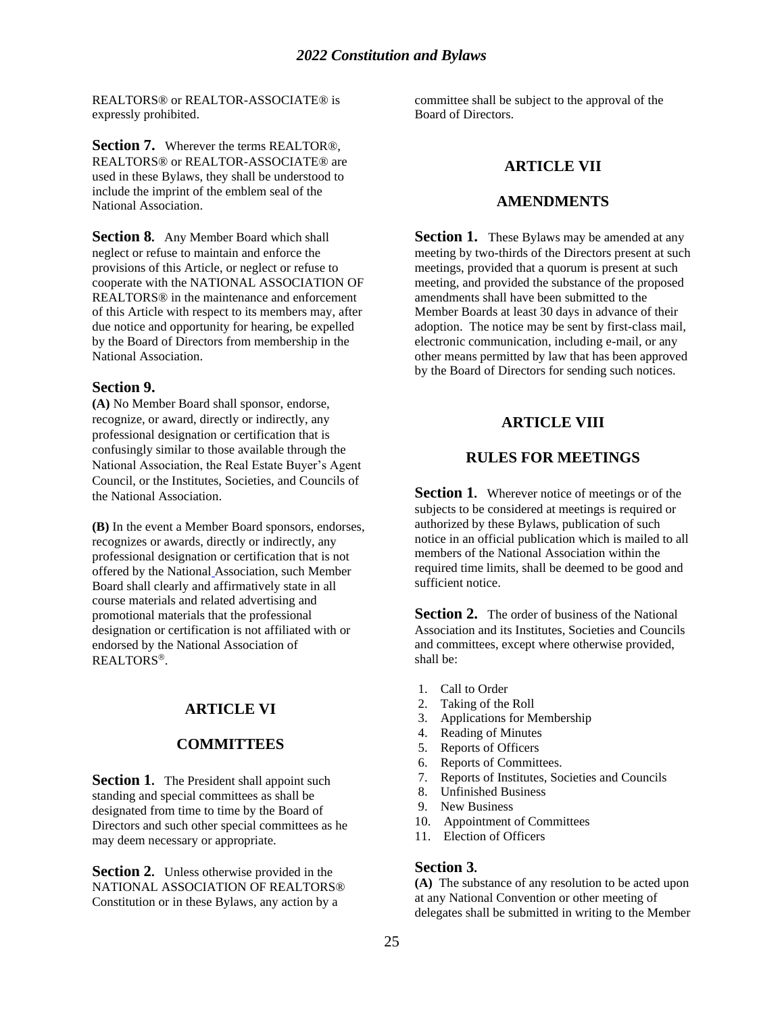REALTORS® or REALTOR-ASSOCIATE® is expressly prohibited.

**Section 7.** Wherever the terms REALTOR®, REALTORS® or REALTOR-ASSOCIATE® are used in these Bylaws, they shall be understood to include the imprint of the emblem seal of the National Association.

**Section 8.** Any Member Board which shall neglect or refuse to maintain and enforce the provisions of this Article, or neglect or refuse to cooperate with the NATIONAL ASSOCIATION OF REALTORS® in the maintenance and enforcement of this Article with respect to its members may, after due notice and opportunity for hearing, be expelled by the Board of Directors from membership in the National Association.

#### **Section 9.**

**(A)** No Member Board shall sponsor, endorse, recognize, or award, directly or indirectly, any professional designation or certification that is confusingly similar to those available through the National Association, the Real Estate Buyer's Agent Council, or the Institutes, Societies, and Councils of the National Association.

**(B)** In the event a Member Board sponsors, endorses, recognizes or awards, directly or indirectly, any professional designation or certification that is not offered by the National Association, such Member Board shall clearly and affirmatively state in all course materials and related advertising and promotional materials that the professional designation or certification is not affiliated with or endorsed by the National Association of REALTORS<sup>®</sup>

#### **ARTICLE VI**

#### **COMMITTEES**

**Section 1.** The President shall appoint such standing and special committees as shall be designated from time to time by the Board of Directors and such other special committees as he may deem necessary or appropriate.

**Section 2.** Unless otherwise provided in the NATIONAL ASSOCIATION OF REALTORS® Constitution or in these Bylaws, any action by a

committee shall be subject to the approval of the Board of Directors.

#### **ARTICLE VII**

#### **AMENDMENTS**

Section 1. These Bylaws may be amended at any meeting by two-thirds of the Directors present at such meetings, provided that a quorum is present at such meeting, and provided the substance of the proposed amendments shall have been submitted to the Member Boards at least 30 days in advance of their adoption. The notice may be sent by first-class mail, electronic communication, including e-mail, or any other means permitted by law that has been approved by the Board of Directors for sending such notices.

#### **ARTICLE VIII**

#### **RULES FOR MEETINGS**

**Section 1.** Wherever notice of meetings or of the subjects to be considered at meetings is required or authorized by these Bylaws, publication of such notice in an official publication which is mailed to all members of the National Association within the required time limits, shall be deemed to be good and sufficient notice.

Section 2. The order of business of the National Association and its Institutes, Societies and Councils and committees, except where otherwise provided, shall be:

- 1. Call to Order
- 2. Taking of the Roll
- 3. Applications for Membership
- 4. Reading of Minutes
- 5. Reports of Officers
- 6. Reports of Committees.
- 7. Reports of Institutes, Societies and Councils
- 8. Unfinished Business
- 9. New Business
- 10. Appointment of Committees
- 11. Election of Officers

#### **Section 3.**

**(A)** The substance of any resolution to be acted upon at any National Convention or other meeting of delegates shall be submitted in writing to the Member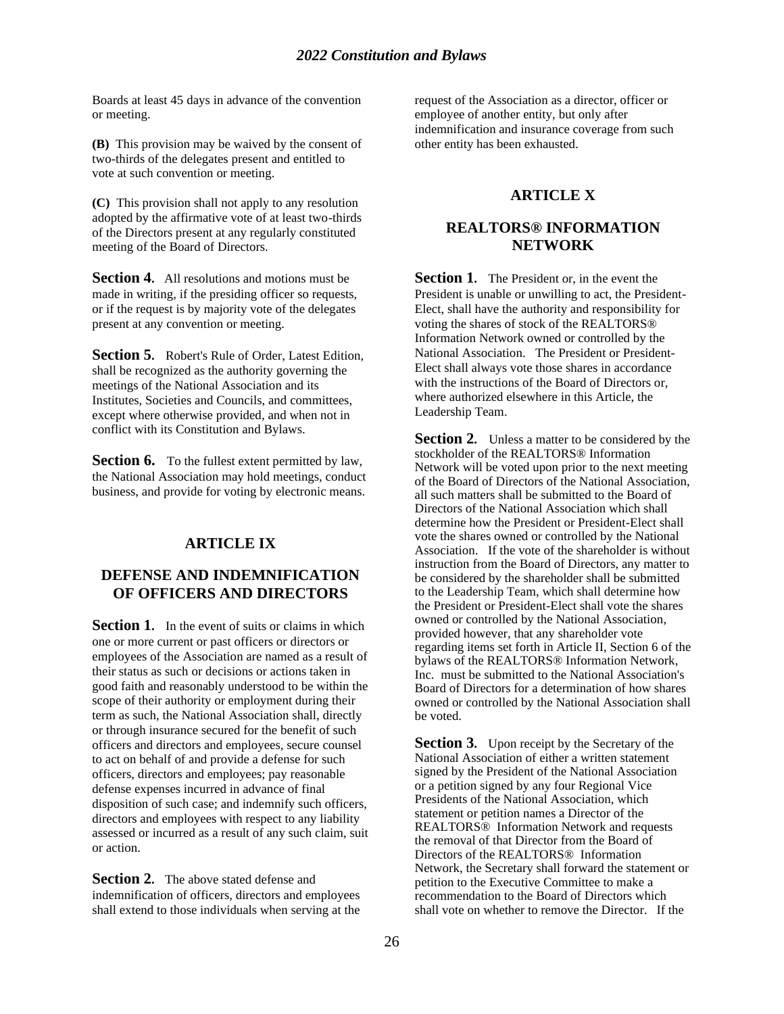Boards at least 45 days in advance of the convention or meeting.

**(B)** This provision may be waived by the consent of two-thirds of the delegates present and entitled to vote at such convention or meeting.

**(C)** This provision shall not apply to any resolution adopted by the affirmative vote of at least two-thirds of the Directors present at any regularly constituted meeting of the Board of Directors.

**Section 4.** All resolutions and motions must be made in writing, if the presiding officer so requests, or if the request is by majority vote of the delegates present at any convention or meeting.

**Section 5.** Robert's Rule of Order, Latest Edition, shall be recognized as the authority governing the meetings of the National Association and its Institutes, Societies and Councils, and committees, except where otherwise provided, and when not in conflict with its Constitution and Bylaws.

**Section 6.** To the fullest extent permitted by law, the National Association may hold meetings, conduct business, and provide for voting by electronic means.

## **ARTICLE IX**

## **DEFENSE AND INDEMNIFICATION OF OFFICERS AND DIRECTORS**

**Section 1.** In the event of suits or claims in which one or more current or past officers or directors or employees of the Association are named as a result of their status as such or decisions or actions taken in good faith and reasonably understood to be within the scope of their authority or employment during their term as such, the National Association shall, directly or through insurance secured for the benefit of such officers and directors and employees, secure counsel to act on behalf of and provide a defense for such officers, directors and employees; pay reasonable defense expenses incurred in advance of final disposition of such case; and indemnify such officers, directors and employees with respect to any liability assessed or incurred as a result of any such claim, suit or action.

**Section 2.** The above stated defense and indemnification of officers, directors and employees shall extend to those individuals when serving at the request of the Association as a director, officer or employee of another entity, but only after indemnification and insurance coverage from such other entity has been exhausted.

## **ARTICLE X**

## **REALTORS® INFORMATION NETWORK**

**Section 1.** The President or, in the event the President is unable or unwilling to act, the President-Elect, shall have the authority and responsibility for voting the shares of stock of the REALTORS® Information Network owned or controlled by the National Association. The President or President-Elect shall always vote those shares in accordance with the instructions of the Board of Directors or, where authorized elsewhere in this Article, the Leadership Team.

**Section 2.** Unless a matter to be considered by the stockholder of the REALTORS® Information Network will be voted upon prior to the next meeting of the Board of Directors of the National Association, all such matters shall be submitted to the Board of Directors of the National Association which shall determine how the President or President-Elect shall vote the shares owned or controlled by the National Association. If the vote of the shareholder is without instruction from the Board of Directors, any matter to be considered by the shareholder shall be submitted to the Leadership Team, which shall determine how the President or President-Elect shall vote the shares owned or controlled by the National Association, provided however, that any shareholder vote regarding items set forth in Article II, Section 6 of the bylaws of the REALTORS® Information Network, Inc. must be submitted to the National Association's Board of Directors for a determination of how shares owned or controlled by the National Association shall be voted.

**Section 3.** Upon receipt by the Secretary of the National Association of either a written statement signed by the President of the National Association or a petition signed by any four Regional Vice Presidents of the National Association, which statement or petition names a Director of the REALTORS® Information Network and requests the removal of that Director from the Board of Directors of the REALTORS® Information Network, the Secretary shall forward the statement or petition to the Executive Committee to make a recommendation to the Board of Directors which shall vote on whether to remove the Director. If the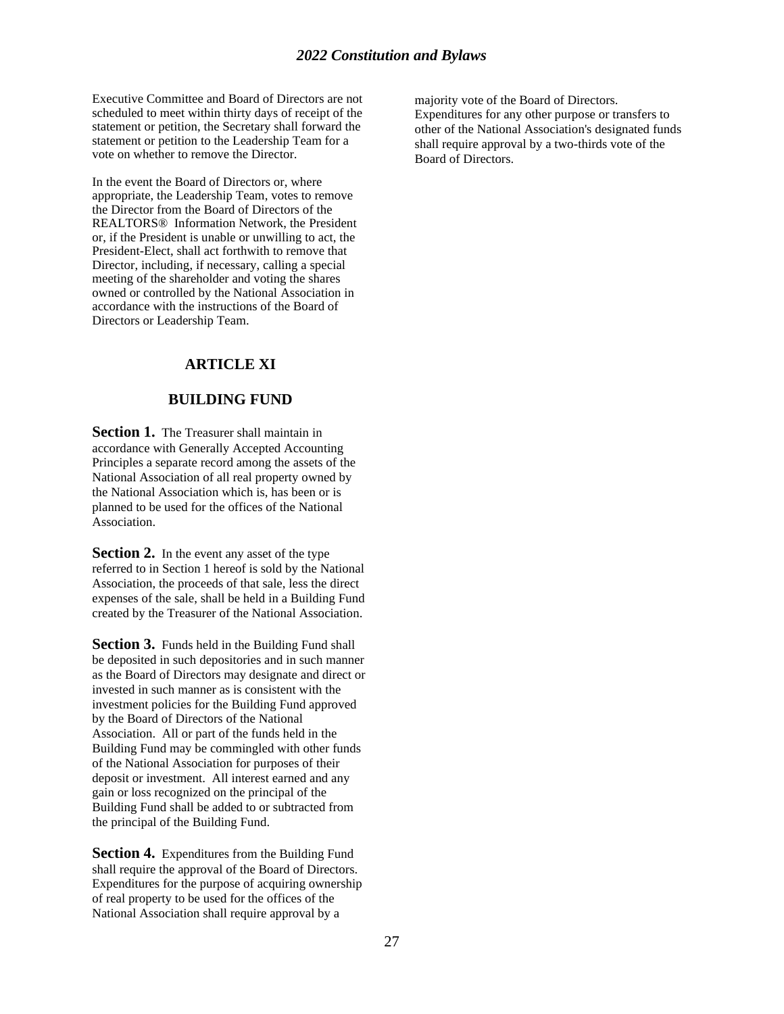Executive Committee and Board of Directors are not scheduled to meet within thirty days of receipt of the statement or petition, the Secretary shall forward the statement or petition to the Leadership Team for a vote on whether to remove the Director.

In the event the Board of Directors or, where appropriate, the Leadership Team, votes to remove the Director from the Board of Directors of the REALTORS® Information Network, the President or, if the President is unable or unwilling to act, the President-Elect, shall act forthwith to remove that Director, including, if necessary, calling a special meeting of the shareholder and voting the shares owned or controlled by the National Association in accordance with the instructions of the Board of Directors or Leadership Team.

## **ARTICLE XI**

## **BUILDING FUND**

**Section 1.** The Treasurer shall maintain in accordance with Generally Accepted Accounting Principles a separate record among the assets of the National Association of all real property owned by the National Association which is, has been or is planned to be used for the offices of the National Association.

**Section 2.** In the event any asset of the type referred to in Section 1 hereof is sold by the National Association, the proceeds of that sale, less the direct expenses of the sale, shall be held in a Building Fund created by the Treasurer of the National Association.

**Section 3.** Funds held in the Building Fund shall be deposited in such depositories and in such manner as the Board of Directors may designate and direct or invested in such manner as is consistent with the investment policies for the Building Fund approved by the Board of Directors of the National Association. All or part of the funds held in the Building Fund may be commingled with other funds of the National Association for purposes of their deposit or investment. All interest earned and any gain or loss recognized on the principal of the Building Fund shall be added to or subtracted from the principal of the Building Fund.

**Section 4.** Expenditures from the Building Fund shall require the approval of the Board of Directors. Expenditures for the purpose of acquiring ownership of real property to be used for the offices of the National Association shall require approval by a

majority vote of the Board of Directors. Expenditures for any other purpose or transfers to other of the National Association's designated funds shall require approval by a two-thirds vote of the Board of Directors.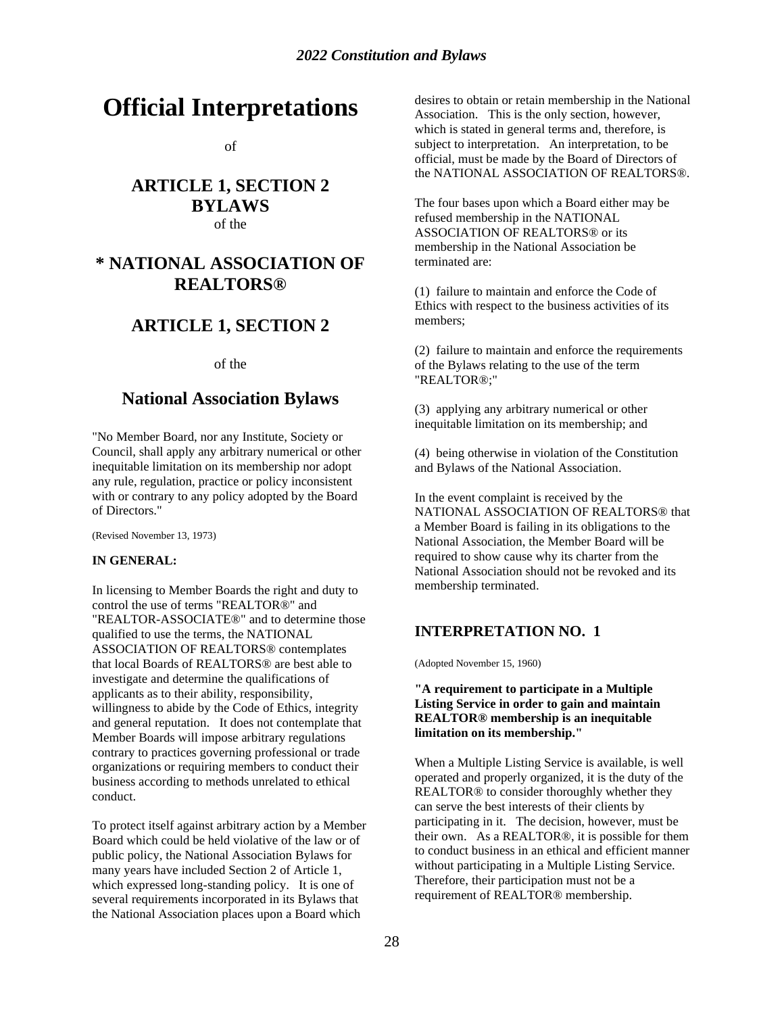# **Official Interpretations**

of

## **ARTICLE 1, SECTION 2 BYLAWS** of the

## **\* NATIONAL ASSOCIATION OF REALTORS®**

## **ARTICLE 1, SECTION 2**

of the

## **National Association Bylaws**

"No Member Board, nor any Institute, Society or Council, shall apply any arbitrary numerical or other inequitable limitation on its membership nor adopt any rule, regulation, practice or policy inconsistent with or contrary to any policy adopted by the Board of Directors."

(Revised November 13, 1973)

#### **IN GENERAL:**

In licensing to Member Boards the right and duty to control the use of terms "REALTOR®" and "REALTOR-ASSOCIATE®" and to determine those qualified to use the terms, the NATIONAL ASSOCIATION OF REALTORS® contemplates that local Boards of REALTORS® are best able to investigate and determine the qualifications of applicants as to their ability, responsibility, willingness to abide by the Code of Ethics, integrity and general reputation. It does not contemplate that Member Boards will impose arbitrary regulations contrary to practices governing professional or trade organizations or requiring members to conduct their business according to methods unrelated to ethical conduct.

To protect itself against arbitrary action by a Member Board which could be held violative of the law or of public policy, the National Association Bylaws for many years have included Section 2 of Article 1, which expressed long-standing policy. It is one of several requirements incorporated in its Bylaws that the National Association places upon a Board which

desires to obtain or retain membership in the National Association. This is the only section, however, which is stated in general terms and, therefore, is subject to interpretation. An interpretation, to be official, must be made by the Board of Directors of the NATIONAL ASSOCIATION OF REALTORS®.

The four bases upon which a Board either may be refused membership in the NATIONAL ASSOCIATION OF REALTORS® or its membership in the National Association be terminated are:

(1) failure to maintain and enforce the Code of Ethics with respect to the business activities of its members;

(2) failure to maintain and enforce the requirements of the Bylaws relating to the use of the term "REALTOR®;"

(3) applying any arbitrary numerical or other inequitable limitation on its membership; and

(4) being otherwise in violation of the Constitution and Bylaws of the National Association.

In the event complaint is received by the NATIONAL ASSOCIATION OF REALTORS® that a Member Board is failing in its obligations to the National Association, the Member Board will be required to show cause why its charter from the National Association should not be revoked and its membership terminated.

## **INTERPRETATION NO. 1**

(Adopted November 15, 1960)

#### **"A requirement to participate in a Multiple Listing Service in order to gain and maintain REALTOR® membership is an inequitable limitation on its membership."**

When a Multiple Listing Service is available, is well operated and properly organized, it is the duty of the REALTOR® to consider thoroughly whether they can serve the best interests of their clients by participating in it. The decision, however, must be their own. As a REALTOR®, it is possible for them to conduct business in an ethical and efficient manner without participating in a Multiple Listing Service. Therefore, their participation must not be a requirement of REALTOR® membership.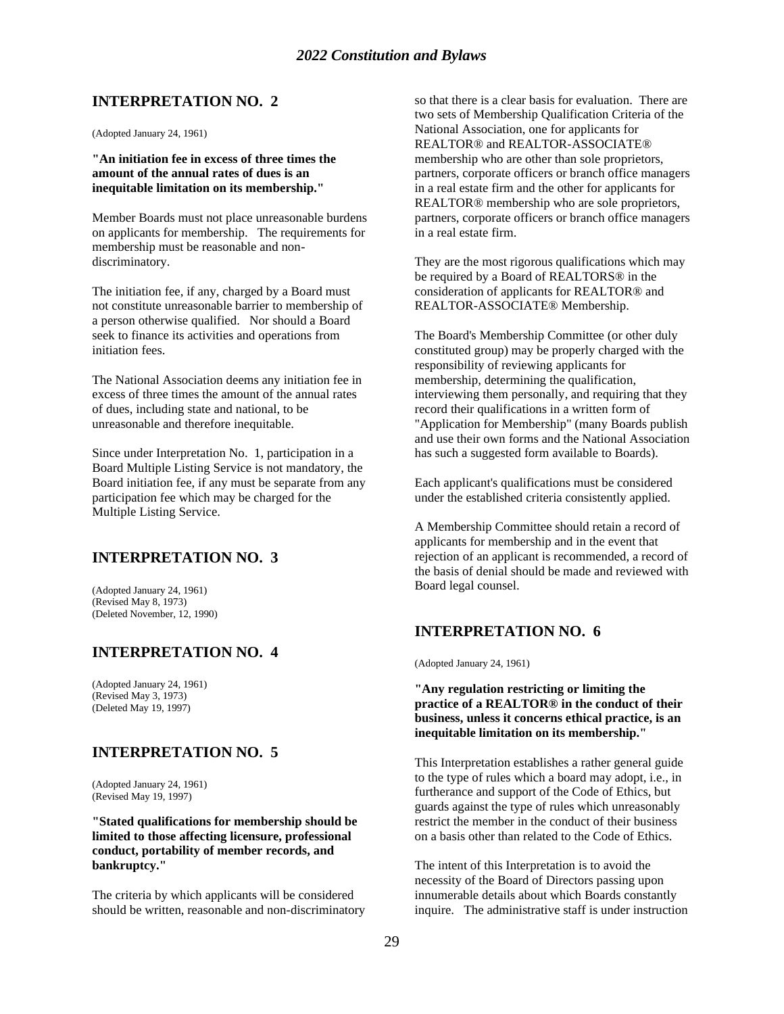## **INTERPRETATION NO. 2**

(Adopted January 24, 1961)

**"An initiation fee in excess of three times the amount of the annual rates of dues is an inequitable limitation on its membership."**

Member Boards must not place unreasonable burdens on applicants for membership. The requirements for membership must be reasonable and nondiscriminatory.

The initiation fee, if any, charged by a Board must not constitute unreasonable barrier to membership of a person otherwise qualified. Nor should a Board seek to finance its activities and operations from initiation fees.

The National Association deems any initiation fee in excess of three times the amount of the annual rates of dues, including state and national, to be unreasonable and therefore inequitable.

Since under Interpretation No. 1, participation in a Board Multiple Listing Service is not mandatory, the Board initiation fee, if any must be separate from any participation fee which may be charged for the Multiple Listing Service.

## **INTERPRETATION NO. 3**

(Adopted January 24, 1961) (Revised May 8, 1973) (Deleted November, 12, 1990)

## **INTERPRETATION NO. 4**

(Adopted January 24, 1961) (Revised May 3, 1973) (Deleted May 19, 1997)

## **INTERPRETATION NO. 5**

(Adopted January 24, 1961) (Revised May 19, 1997)

**"Stated qualifications for membership should be limited to those affecting licensure, professional conduct, portability of member records, and bankruptcy."**

The criteria by which applicants will be considered should be written, reasonable and non-discriminatory so that there is a clear basis for evaluation. There are two sets of Membership Qualification Criteria of the National Association, one for applicants for REALTOR® and REALTOR-ASSOCIATE® membership who are other than sole proprietors, partners, corporate officers or branch office managers in a real estate firm and the other for applicants for REALTOR® membership who are sole proprietors, partners, corporate officers or branch office managers in a real estate firm.

They are the most rigorous qualifications which may be required by a Board of REALTORS® in the consideration of applicants for REALTOR® and REALTOR-ASSOCIATE® Membership.

The Board's Membership Committee (or other duly constituted group) may be properly charged with the responsibility of reviewing applicants for membership, determining the qualification, interviewing them personally, and requiring that they record their qualifications in a written form of "Application for Membership" (many Boards publish and use their own forms and the National Association has such a suggested form available to Boards).

Each applicant's qualifications must be considered under the established criteria consistently applied.

A Membership Committee should retain a record of applicants for membership and in the event that rejection of an applicant is recommended, a record of the basis of denial should be made and reviewed with Board legal counsel.

#### **INTERPRETATION NO. 6**

(Adopted January 24, 1961)

**"Any regulation restricting or limiting the practice of a REALTOR® in the conduct of their business, unless it concerns ethical practice, is an inequitable limitation on its membership."**

This Interpretation establishes a rather general guide to the type of rules which a board may adopt, i.e., in furtherance and support of the Code of Ethics, but guards against the type of rules which unreasonably restrict the member in the conduct of their business on a basis other than related to the Code of Ethics.

The intent of this Interpretation is to avoid the necessity of the Board of Directors passing upon innumerable details about which Boards constantly inquire. The administrative staff is under instruction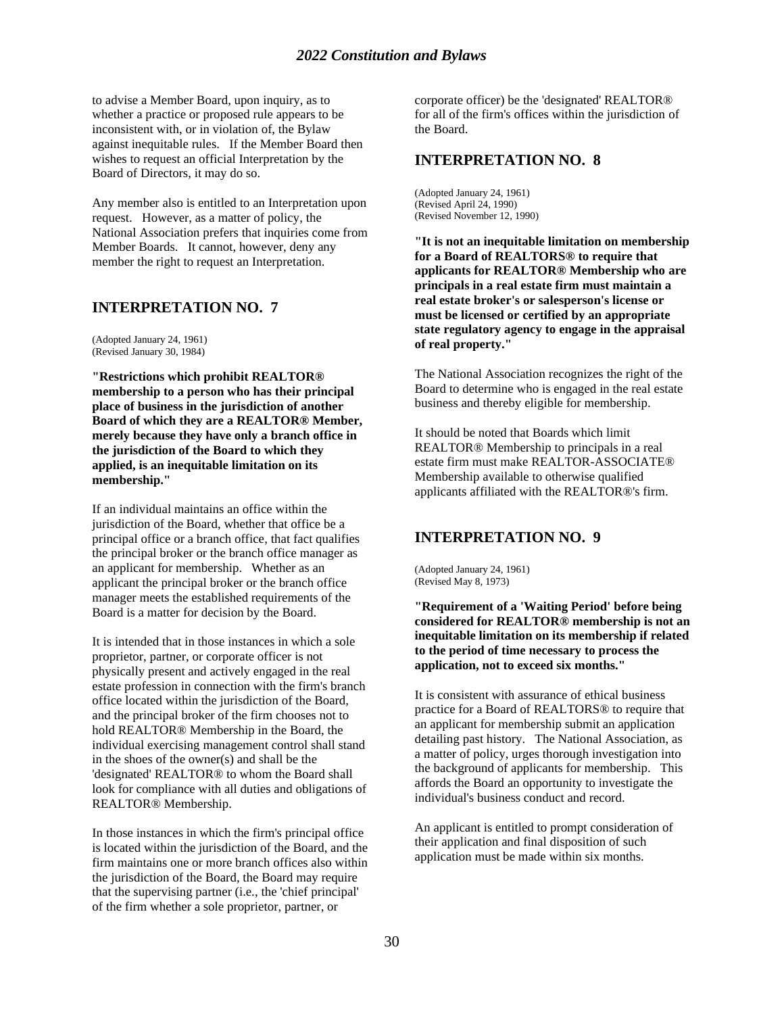to advise a Member Board, upon inquiry, as to whether a practice or proposed rule appears to be inconsistent with, or in violation of, the Bylaw against inequitable rules. If the Member Board then wishes to request an official Interpretation by the Board of Directors, it may do so.

Any member also is entitled to an Interpretation upon request. However, as a matter of policy, the National Association prefers that inquiries come from Member Boards. It cannot, however, deny any member the right to request an Interpretation.

#### **INTERPRETATION NO. 7**

(Adopted January 24, 1961) (Revised January 30, 1984)

**"Restrictions which prohibit REALTOR® membership to a person who has their principal place of business in the jurisdiction of another Board of which they are a REALTOR® Member, merely because they have only a branch office in the jurisdiction of the Board to which they applied, is an inequitable limitation on its membership."**

If an individual maintains an office within the jurisdiction of the Board, whether that office be a principal office or a branch office, that fact qualifies the principal broker or the branch office manager as an applicant for membership. Whether as an applicant the principal broker or the branch office manager meets the established requirements of the Board is a matter for decision by the Board.

It is intended that in those instances in which a sole proprietor, partner, or corporate officer is not physically present and actively engaged in the real estate profession in connection with the firm's branch office located within the jurisdiction of the Board, and the principal broker of the firm chooses not to hold REALTOR® Membership in the Board, the individual exercising management control shall stand in the shoes of the owner(s) and shall be the 'designated' REALTOR® to whom the Board shall look for compliance with all duties and obligations of REALTOR® Membership.

In those instances in which the firm's principal office is located within the jurisdiction of the Board, and the firm maintains one or more branch offices also within the jurisdiction of the Board, the Board may require that the supervising partner (i.e., the 'chief principal' of the firm whether a sole proprietor, partner, or

corporate officer) be the 'designated' REALTOR® for all of the firm's offices within the jurisdiction of the Board.

#### **INTERPRETATION NO. 8**

(Adopted January 24, 1961) (Revised April 24, 1990) (Revised November 12, 1990)

**"It is not an inequitable limitation on membership for a Board of REALTORS® to require that applicants for REALTOR® Membership who are principals in a real estate firm must maintain a real estate broker's or salesperson's license or must be licensed or certified by an appropriate state regulatory agency to engage in the appraisal of real property."**

The National Association recognizes the right of the Board to determine who is engaged in the real estate business and thereby eligible for membership.

It should be noted that Boards which limit REALTOR® Membership to principals in a real estate firm must make REALTOR-ASSOCIATE® Membership available to otherwise qualified applicants affiliated with the REALTOR®'s firm.

#### **INTERPRETATION NO. 9**

(Adopted January 24, 1961) (Revised May 8, 1973)

**"Requirement of a 'Waiting Period' before being considered for REALTOR® membership is not an inequitable limitation on its membership if related to the period of time necessary to process the application, not to exceed six months."**

It is consistent with assurance of ethical business practice for a Board of REALTORS® to require that an applicant for membership submit an application detailing past history. The National Association, as a matter of policy, urges thorough investigation into the background of applicants for membership. This affords the Board an opportunity to investigate the individual's business conduct and record.

An applicant is entitled to prompt consideration of their application and final disposition of such application must be made within six months.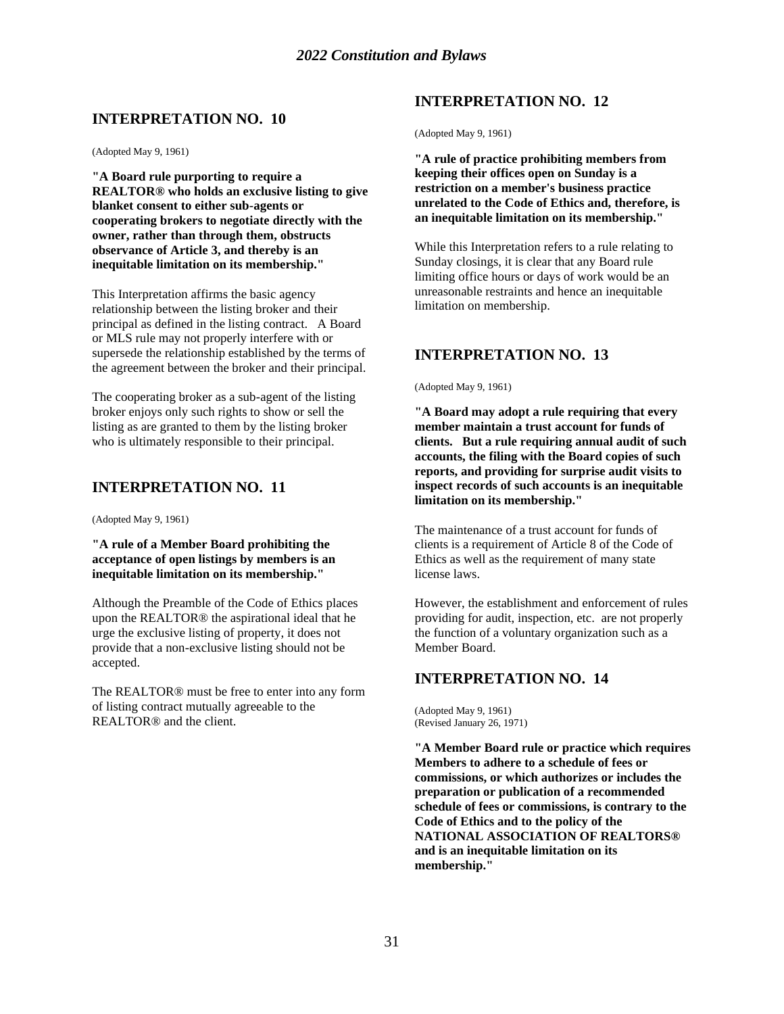## **INTERPRETATION NO. 10**

(Adopted May 9, 1961)

**"A Board rule purporting to require a REALTOR® who holds an exclusive listing to give blanket consent to either sub-agents or cooperating brokers to negotiate directly with the owner, rather than through them, obstructs observance of Article 3, and thereby is an inequitable limitation on its membership."**

This Interpretation affirms the basic agency relationship between the listing broker and their principal as defined in the listing contract. A Board or MLS rule may not properly interfere with or supersede the relationship established by the terms of the agreement between the broker and their principal.

The cooperating broker as a sub-agent of the listing broker enjoys only such rights to show or sell the listing as are granted to them by the listing broker who is ultimately responsible to their principal.

## **INTERPRETATION NO. 11**

(Adopted May 9, 1961)

**"A rule of a Member Board prohibiting the acceptance of open listings by members is an inequitable limitation on its membership."**

Although the Preamble of the Code of Ethics places upon the REALTOR® the aspirational ideal that he urge the exclusive listing of property, it does not provide that a non-exclusive listing should not be accepted.

The REALTOR® must be free to enter into any form of listing contract mutually agreeable to the REALTOR® and the client.

## **INTERPRETATION NO. 12**

(Adopted May 9, 1961)

**"A rule of practice prohibiting members from keeping their offices open on Sunday is a restriction on a member's business practice unrelated to the Code of Ethics and, therefore, is an inequitable limitation on its membership."**

While this Interpretation refers to a rule relating to Sunday closings, it is clear that any Board rule limiting office hours or days of work would be an unreasonable restraints and hence an inequitable limitation on membership.

## **INTERPRETATION NO. 13**

(Adopted May 9, 1961)

**"A Board may adopt a rule requiring that every member maintain a trust account for funds of clients. But a rule requiring annual audit of such accounts, the filing with the Board copies of such reports, and providing for surprise audit visits to inspect records of such accounts is an inequitable limitation on its membership."**

The maintenance of a trust account for funds of clients is a requirement of Article 8 of the Code of Ethics as well as the requirement of many state license laws.

However, the establishment and enforcement of rules providing for audit, inspection, etc. are not properly the function of a voluntary organization such as a Member Board.

## **INTERPRETATION NO. 14**

(Adopted May 9, 1961) (Revised January 26, 1971)

**"A Member Board rule or practice which requires Members to adhere to a schedule of fees or commissions, or which authorizes or includes the preparation or publication of a recommended schedule of fees or commissions, is contrary to the Code of Ethics and to the policy of the NATIONAL ASSOCIATION OF REALTORS® and is an inequitable limitation on its membership."**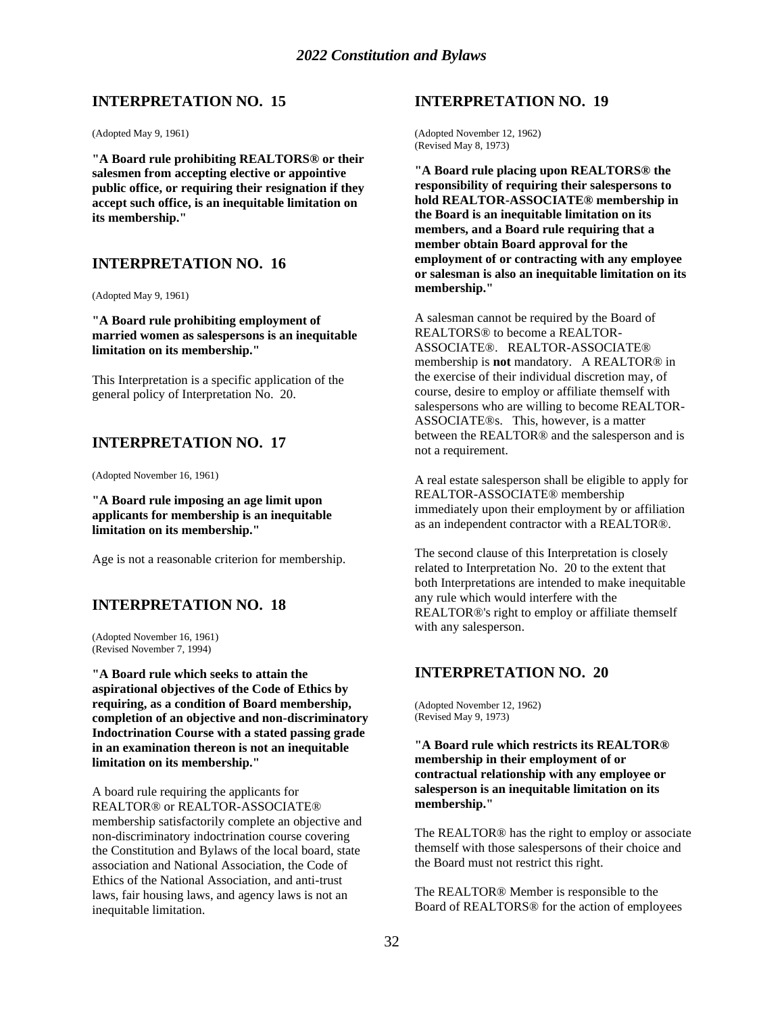## **INTERPRETATION NO. 15**

(Adopted May 9, 1961)

**"A Board rule prohibiting REALTORS® or their salesmen from accepting elective or appointive public office, or requiring their resignation if they accept such office, is an inequitable limitation on its membership."**

## **INTERPRETATION NO. 16**

(Adopted May 9, 1961)

**"A Board rule prohibiting employment of married women as salespersons is an inequitable limitation on its membership."**

This Interpretation is a specific application of the general policy of Interpretation No. 20.

## **INTERPRETATION NO. 17**

(Adopted November 16, 1961)

**"A Board rule imposing an age limit upon applicants for membership is an inequitable limitation on its membership."**

Age is not a reasonable criterion for membership.

## **INTERPRETATION NO. 18**

(Adopted November 16, 1961) (Revised November 7, 1994)

**"A Board rule which seeks to attain the aspirational objectives of the Code of Ethics by requiring, as a condition of Board membership, completion of an objective and non-discriminatory Indoctrination Course with a stated passing grade in an examination thereon is not an inequitable limitation on its membership."**

A board rule requiring the applicants for REALTOR® or REALTOR-ASSOCIATE® membership satisfactorily complete an objective and non-discriminatory indoctrination course covering the Constitution and Bylaws of the local board, state association and National Association, the Code of Ethics of the National Association, and anti-trust laws, fair housing laws, and agency laws is not an inequitable limitation.

#### **INTERPRETATION NO. 19**

(Adopted November 12, 1962) (Revised May 8, 1973)

**"A Board rule placing upon REALTORS® the responsibility of requiring their salespersons to hold REALTOR-ASSOCIATE® membership in the Board is an inequitable limitation on its members, and a Board rule requiring that a member obtain Board approval for the employment of or contracting with any employee or salesman is also an inequitable limitation on its membership."**

A salesman cannot be required by the Board of REALTORS® to become a REALTOR-ASSOCIATE®. REALTOR-ASSOCIATE® membership is **not** mandatory. A REALTOR® in the exercise of their individual discretion may, of course, desire to employ or affiliate themself with salespersons who are willing to become REALTOR-ASSOCIATE®s. This, however, is a matter between the REALTOR® and the salesperson and is not a requirement.

A real estate salesperson shall be eligible to apply for REALTOR-ASSOCIATE® membership immediately upon their employment by or affiliation as an independent contractor with a REALTOR®.

The second clause of this Interpretation is closely related to Interpretation No. 20 to the extent that both Interpretations are intended to make inequitable any rule which would interfere with the REALTOR®'s right to employ or affiliate themself with any salesperson.

#### **INTERPRETATION NO. 20**

(Adopted November 12, 1962) (Revised May 9, 1973)

**"A Board rule which restricts its REALTOR® membership in their employment of or contractual relationship with any employee or salesperson is an inequitable limitation on its membership."**

The REALTOR® has the right to employ or associate themself with those salespersons of their choice and the Board must not restrict this right.

The REALTOR® Member is responsible to the Board of REALTORS® for the action of employees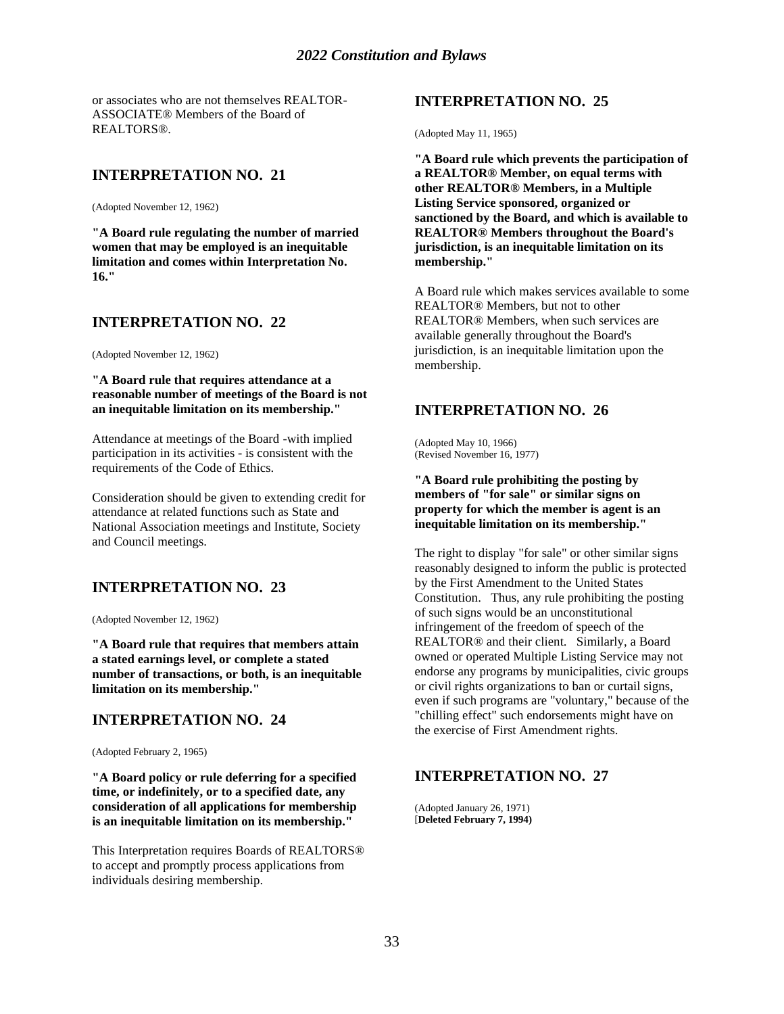or associates who are not themselves REALTOR-ASSOCIATE® Members of the Board of REALTORS®.

## **INTERPRETATION NO. 21**

(Adopted November 12, 1962)

**"A Board rule regulating the number of married women that may be employed is an inequitable limitation and comes within Interpretation No. 16."**

## **INTERPRETATION NO. 22**

(Adopted November 12, 1962)

**"A Board rule that requires attendance at a reasonable number of meetings of the Board is not an inequitable limitation on its membership."**

Attendance at meetings of the Board -with implied participation in its activities - is consistent with the requirements of the Code of Ethics.

Consideration should be given to extending credit for attendance at related functions such as State and National Association meetings and Institute, Society and Council meetings.

## **INTERPRETATION NO. 23**

(Adopted November 12, 1962)

**"A Board rule that requires that members attain a stated earnings level, or complete a stated number of transactions, or both, is an inequitable limitation on its membership."**

## **INTERPRETATION NO. 24**

(Adopted February 2, 1965)

**"A Board policy or rule deferring for a specified time, or indefinitely, or to a specified date, any consideration of all applications for membership is an inequitable limitation on its membership."**

This Interpretation requires Boards of REALTORS® to accept and promptly process applications from individuals desiring membership.

## **INTERPRETATION NO. 25**

(Adopted May 11, 1965)

**"A Board rule which prevents the participation of a REALTOR® Member, on equal terms with other REALTOR® Members, in a Multiple Listing Service sponsored, organized or sanctioned by the Board, and which is available to REALTOR® Members throughout the Board's jurisdiction, is an inequitable limitation on its membership."**

A Board rule which makes services available to some REALTOR® Members, but not to other REALTOR® Members, when such services are available generally throughout the Board's jurisdiction, is an inequitable limitation upon the membership.

## **INTERPRETATION NO. 26**

(Adopted May 10, 1966) (Revised November 16, 1977)

**"A Board rule prohibiting the posting by members of "for sale" or similar signs on property for which the member is agent is an inequitable limitation on its membership."**

The right to display "for sale" or other similar signs reasonably designed to inform the public is protected by the First Amendment to the United States Constitution. Thus, any rule prohibiting the posting of such signs would be an unconstitutional infringement of the freedom of speech of the REALTOR® and their client. Similarly, a Board owned or operated Multiple Listing Service may not endorse any programs by municipalities, civic groups or civil rights organizations to ban or curtail signs, even if such programs are "voluntary," because of the "chilling effect" such endorsements might have on the exercise of First Amendment rights.

## **INTERPRETATION NO. 27**

(Adopted January 26, 1971) [**Deleted February 7, 1994)**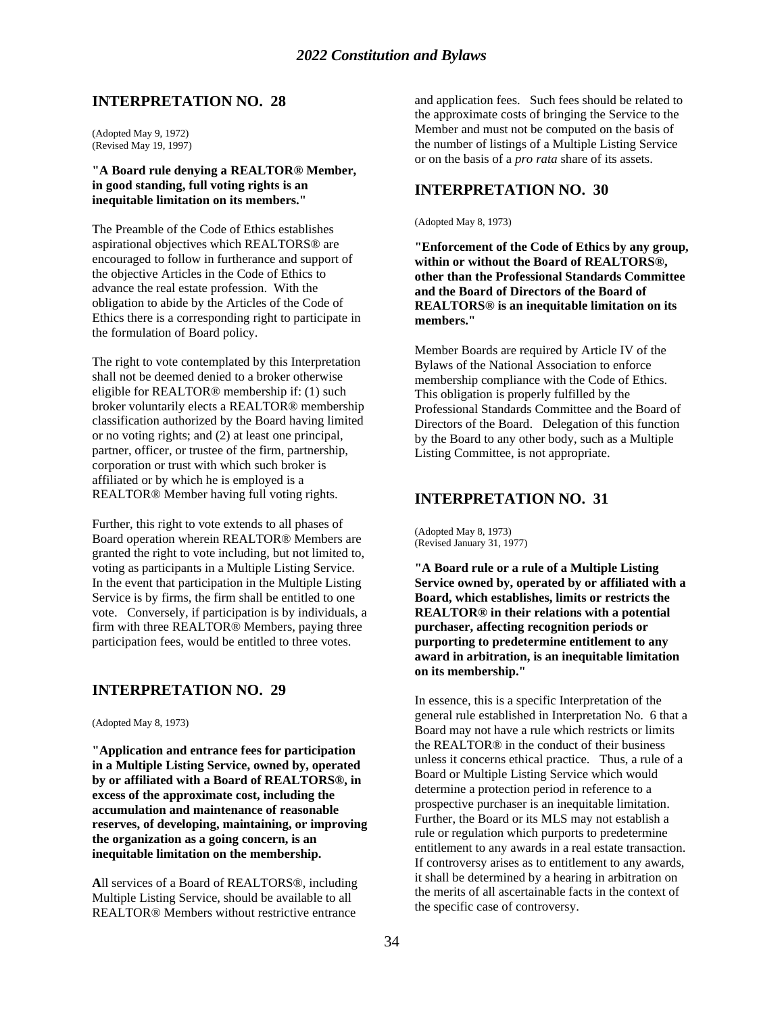## **INTERPRETATION NO. 28**

(Adopted May 9, 1972) (Revised May 19, 1997)

#### **"A Board rule denying a REALTOR® Member, in good standing, full voting rights is an inequitable limitation on its members."**

The Preamble of the Code of Ethics establishes aspirational objectives which REALTORS® are encouraged to follow in furtherance and support of the objective Articles in the Code of Ethics to advance the real estate profession. With the obligation to abide by the Articles of the Code of Ethics there is a corresponding right to participate in the formulation of Board policy.

The right to vote contemplated by this Interpretation shall not be deemed denied to a broker otherwise eligible for REALTOR® membership if: (1) such broker voluntarily elects a REALTOR® membership classification authorized by the Board having limited or no voting rights; and (2) at least one principal, partner, officer, or trustee of the firm, partnership, corporation or trust with which such broker is affiliated or by which he is employed is a REALTOR® Member having full voting rights.

Further, this right to vote extends to all phases of Board operation wherein REALTOR® Members are granted the right to vote including, but not limited to, voting as participants in a Multiple Listing Service. In the event that participation in the Multiple Listing Service is by firms, the firm shall be entitled to one vote. Conversely, if participation is by individuals, a firm with three REALTOR® Members, paying three participation fees, would be entitled to three votes.

## **INTERPRETATION NO. 29**

(Adopted May 8, 1973)

**"Application and entrance fees for participation in a Multiple Listing Service, owned by, operated by or affiliated with a Board of REALTORS®, in excess of the approximate cost, including the accumulation and maintenance of reasonable reserves, of developing, maintaining, or improving the organization as a going concern, is an inequitable limitation on the membership.**

**A**ll services of a Board of REALTORS®, including Multiple Listing Service, should be available to all REALTOR® Members without restrictive entrance

and application fees. Such fees should be related to the approximate costs of bringing the Service to the Member and must not be computed on the basis of the number of listings of a Multiple Listing Service or on the basis of a *pro rata* share of its assets.

## **INTERPRETATION NO. 30**

(Adopted May 8, 1973)

**"Enforcement of the Code of Ethics by any group, within or without the Board of REALTORS®, other than the Professional Standards Committee and the Board of Directors of the Board of REALTORS® is an inequitable limitation on its members."**

Member Boards are required by Article IV of the Bylaws of the National Association to enforce membership compliance with the Code of Ethics. This obligation is properly fulfilled by the Professional Standards Committee and the Board of Directors of the Board. Delegation of this function by the Board to any other body, such as a Multiple Listing Committee, is not appropriate.

## **INTERPRETATION NO. 31**

(Adopted May 8, 1973) (Revised January 31, 1977)

**"A Board rule or a rule of a Multiple Listing Service owned by, operated by or affiliated with a Board, which establishes, limits or restricts the REALTOR® in their relations with a potential purchaser, affecting recognition periods or purporting to predetermine entitlement to any award in arbitration, is an inequitable limitation on its membership."**

In essence, this is a specific Interpretation of the general rule established in Interpretation No. 6 that a Board may not have a rule which restricts or limits the REALTOR® in the conduct of their business unless it concerns ethical practice. Thus, a rule of a Board or Multiple Listing Service which would determine a protection period in reference to a prospective purchaser is an inequitable limitation. Further, the Board or its MLS may not establish a rule or regulation which purports to predetermine entitlement to any awards in a real estate transaction. If controversy arises as to entitlement to any awards, it shall be determined by a hearing in arbitration on the merits of all ascertainable facts in the context of the specific case of controversy.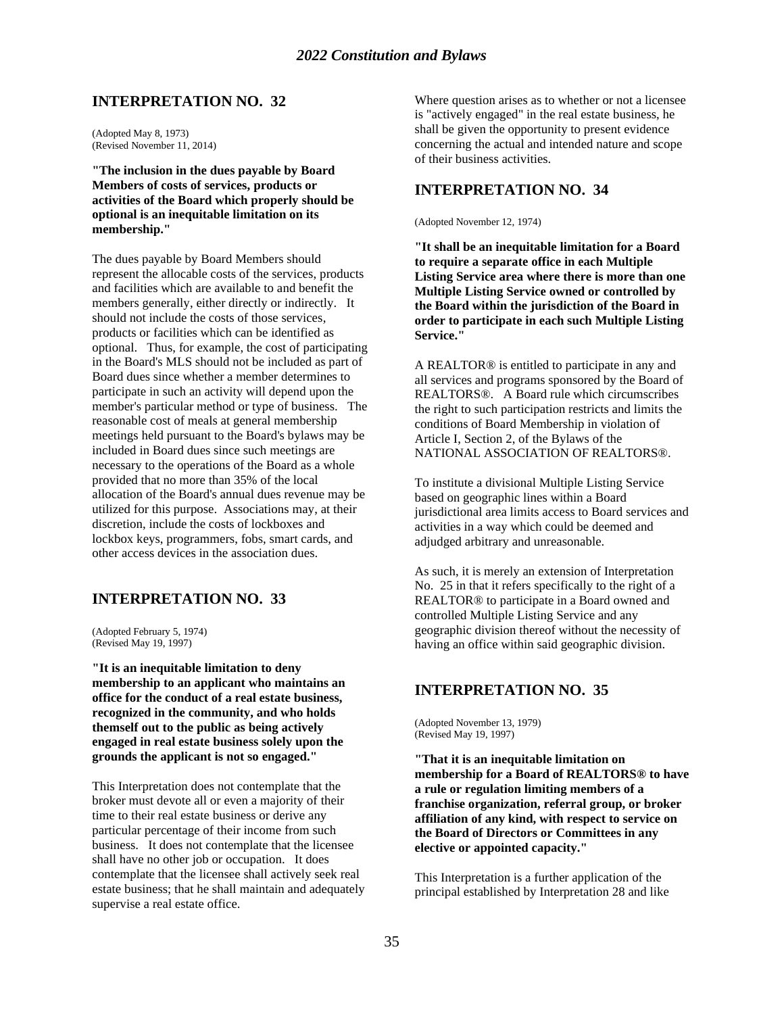## **INTERPRETATION NO. 32**

(Adopted May 8, 1973) (Revised November 11, 2014)

**"The inclusion in the dues payable by Board Members of costs of services, products or activities of the Board which properly should be optional is an inequitable limitation on its membership."**

The dues payable by Board Members should represent the allocable costs of the services, products and facilities which are available to and benefit the members generally, either directly or indirectly. It should not include the costs of those services, products or facilities which can be identified as optional. Thus, for example, the cost of participating in the Board's MLS should not be included as part of Board dues since whether a member determines to participate in such an activity will depend upon the member's particular method or type of business. The reasonable cost of meals at general membership meetings held pursuant to the Board's bylaws may be included in Board dues since such meetings are necessary to the operations of the Board as a whole provided that no more than 35% of the local allocation of the Board's annual dues revenue may be utilized for this purpose. Associations may, at their discretion, include the costs of lockboxes and lockbox keys, programmers, fobs, smart cards, and other access devices in the association dues.

## **INTERPRETATION NO. 33**

(Adopted February 5, 1974) (Revised May 19, 1997)

**"It is an inequitable limitation to deny membership to an applicant who maintains an office for the conduct of a real estate business, recognized in the community, and who holds themself out to the public as being actively engaged in real estate business solely upon the grounds the applicant is not so engaged."**

This Interpretation does not contemplate that the broker must devote all or even a majority of their time to their real estate business or derive any particular percentage of their income from such business. It does not contemplate that the licensee shall have no other job or occupation. It does contemplate that the licensee shall actively seek real estate business; that he shall maintain and adequately supervise a real estate office.

Where question arises as to whether or not a licensee is "actively engaged" in the real estate business, he shall be given the opportunity to present evidence concerning the actual and intended nature and scope of their business activities.

## **INTERPRETATION NO. 34**

(Adopted November 12, 1974)

**"It shall be an inequitable limitation for a Board to require a separate office in each Multiple Listing Service area where there is more than one Multiple Listing Service owned or controlled by the Board within the jurisdiction of the Board in order to participate in each such Multiple Listing Service."**

A REALTOR® is entitled to participate in any and all services and programs sponsored by the Board of REALTORS®. A Board rule which circumscribes the right to such participation restricts and limits the conditions of Board Membership in violation of Article I, Section 2, of the Bylaws of the NATIONAL ASSOCIATION OF REALTORS®.

To institute a divisional Multiple Listing Service based on geographic lines within a Board jurisdictional area limits access to Board services and activities in a way which could be deemed and adjudged arbitrary and unreasonable.

As such, it is merely an extension of Interpretation No. 25 in that it refers specifically to the right of a REALTOR® to participate in a Board owned and controlled Multiple Listing Service and any geographic division thereof without the necessity of having an office within said geographic division.

## **INTERPRETATION NO. 35**

(Adopted November 13, 1979) (Revised May 19, 1997)

**"That it is an inequitable limitation on membership for a Board of REALTORS® to have a rule or regulation limiting members of a franchise organization, referral group, or broker affiliation of any kind, with respect to service on the Board of Directors or Committees in any elective or appointed capacity."**

This Interpretation is a further application of the principal established by Interpretation 28 and like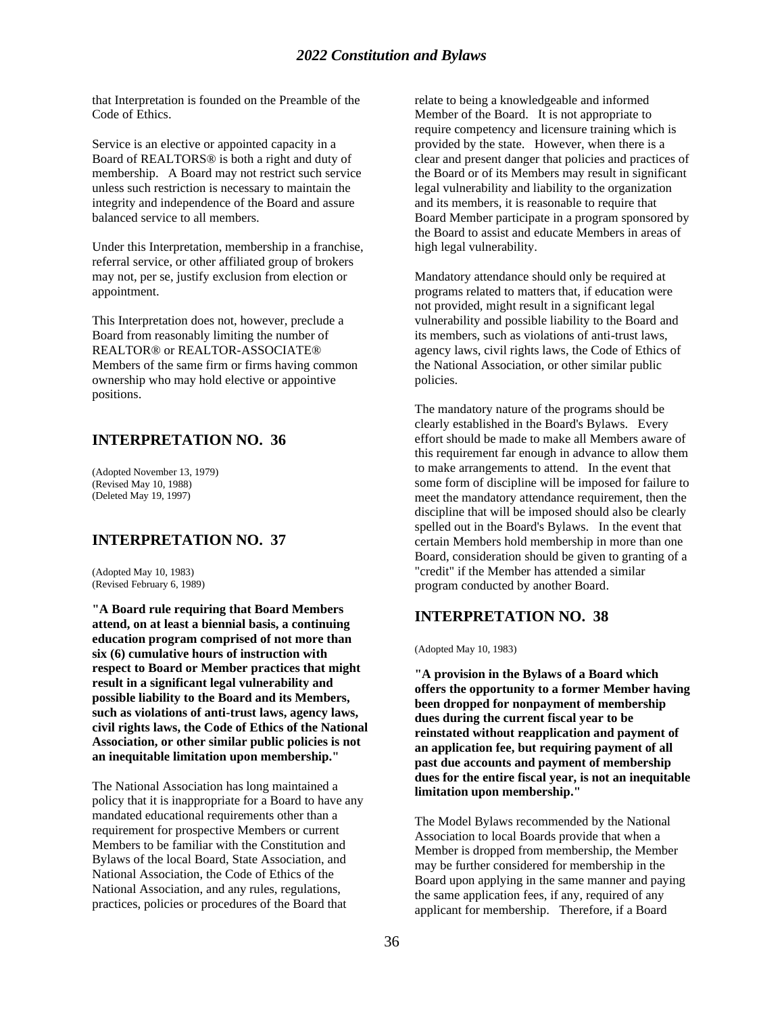that Interpretation is founded on the Preamble of the Code of Ethics.

Service is an elective or appointed capacity in a Board of REALTORS® is both a right and duty of membership. A Board may not restrict such service unless such restriction is necessary to maintain the integrity and independence of the Board and assure balanced service to all members.

Under this Interpretation, membership in a franchise, referral service, or other affiliated group of brokers may not, per se, justify exclusion from election or appointment.

This Interpretation does not, however, preclude a Board from reasonably limiting the number of REALTOR® or REALTOR-ASSOCIATE® Members of the same firm or firms having common ownership who may hold elective or appointive positions.

## **INTERPRETATION NO. 36**

(Adopted November 13, 1979) (Revised May 10, 1988) (Deleted May 19, 1997)

## **INTERPRETATION NO. 37**

(Adopted May 10, 1983) (Revised February 6, 1989)

**"A Board rule requiring that Board Members attend, on at least a biennial basis, a continuing education program comprised of not more than six (6) cumulative hours of instruction with respect to Board or Member practices that might result in a significant legal vulnerability and possible liability to the Board and its Members, such as violations of anti-trust laws, agency laws, civil rights laws, the Code of Ethics of the National Association, or other similar public policies is not an inequitable limitation upon membership."**

The National Association has long maintained a policy that it is inappropriate for a Board to have any mandated educational requirements other than a requirement for prospective Members or current Members to be familiar with the Constitution and Bylaws of the local Board, State Association, and National Association, the Code of Ethics of the National Association, and any rules, regulations, practices, policies or procedures of the Board that

relate to being a knowledgeable and informed Member of the Board. It is not appropriate to require competency and licensure training which is provided by the state. However, when there is a clear and present danger that policies and practices of the Board or of its Members may result in significant legal vulnerability and liability to the organization and its members, it is reasonable to require that Board Member participate in a program sponsored by the Board to assist and educate Members in areas of high legal vulnerability.

Mandatory attendance should only be required at programs related to matters that, if education were not provided, might result in a significant legal vulnerability and possible liability to the Board and its members, such as violations of anti-trust laws, agency laws, civil rights laws, the Code of Ethics of the National Association, or other similar public policies.

The mandatory nature of the programs should be clearly established in the Board's Bylaws. Every effort should be made to make all Members aware of this requirement far enough in advance to allow them to make arrangements to attend. In the event that some form of discipline will be imposed for failure to meet the mandatory attendance requirement, then the discipline that will be imposed should also be clearly spelled out in the Board's Bylaws. In the event that certain Members hold membership in more than one Board, consideration should be given to granting of a "credit" if the Member has attended a similar program conducted by another Board.

## **INTERPRETATION NO. 38**

(Adopted May 10, 1983)

**"A provision in the Bylaws of a Board which offers the opportunity to a former Member having been dropped for nonpayment of membership dues during the current fiscal year to be reinstated without reapplication and payment of an application fee, but requiring payment of all past due accounts and payment of membership dues for the entire fiscal year, is not an inequitable limitation upon membership."**

The Model Bylaws recommended by the National Association to local Boards provide that when a Member is dropped from membership, the Member may be further considered for membership in the Board upon applying in the same manner and paying the same application fees, if any, required of any applicant for membership. Therefore, if a Board